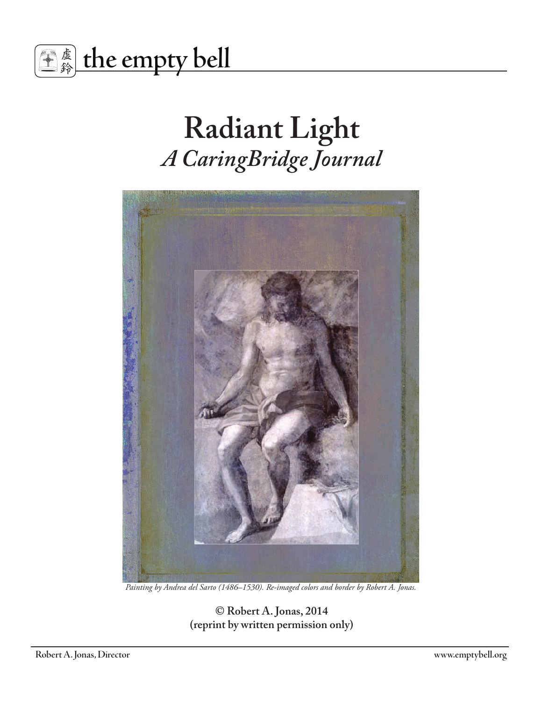

# **Radiant Light**  *A CaringBridge Journal*



*Painting by Andrea del Sarto (1486–1530). Re-imaged colors and border by Robert A. Jonas.*

**© Robert A. Jonas, 2014 (reprint by written permission only)**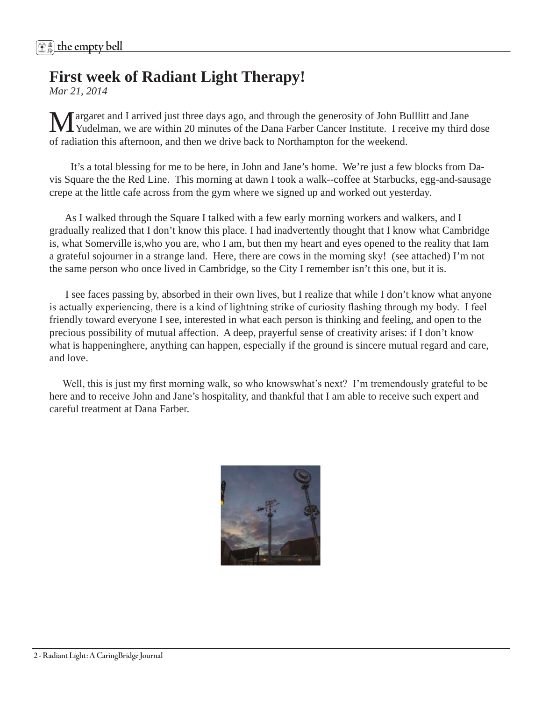# **First week of Radiant Light Therapy!**

*Mar 21, 2014* 

Margaret and I arrived just three days ago, and through the generosity of John Bulllitt and Jane Yudelman, we are within 20 minutes of the Dana Farber Cancer Institute. I receive my third dose of radiation this afternoon, and then we drive back to Northampton for the weekend.

 It's a total blessing for me to be here, in John and Jane's home. We're just a few blocks from Davis Square the the Red Line. This morning at dawn I took a walk--coffee at Starbucks, egg-and-sausage crepe at the little cafe across from the gym where we signed up and worked out yesterday.

 As I walked through the Square I talked with a few early morning workers and walkers, and I gradually realized that I don't know this place. I had inadvertently thought that I know what Cambridge is, what Somerville is,who you are, who I am, but then my heart and eyes opened to the reality that Iam a grateful sojourner in a strange land. Here, there are cows in the morning sky! (see attached) I'm not the same person who once lived in Cambridge, so the City I remember isn't this one, but it is.

 I see faces passing by, absorbed in their own lives, but I realize that while I don't know what anyone is actually experiencing, there is a kind of lightning strike of curiosity flashing through my body. I feel friendly toward everyone I see, interested in what each person is thinking and feeling, and open to the precious possibility of mutual affection. A deep, prayerful sense of creativity arises: if I don't know what is happeninghere, anything can happen, especially if the ground is sincere mutual regard and care, and love.

Well, this is just my first morning walk, so who knowswhat's next? I'm tremendously grateful to be here and to receive John and Jane's hospitality, and thankful that I am able to receive such expert and careful treatment at Dana Farber.

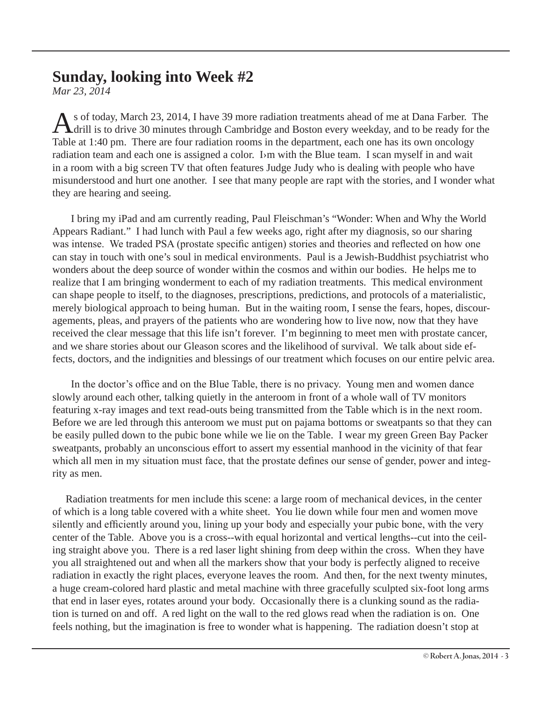# **Sunday, looking into Week #2**

*Mar 23, 2014* 

s of today, March 23, 2014, I have 39 more radiation treatments ahead of me at Dana Farber. The drill is to drive 30 minutes through Cambridge and Boston every weekday, and to be ready for the Table at 1:40 pm. There are four radiation rooms in the department, each one has its own oncology radiation team and each one is assigned a color. I m with the Blue team. I scan myself in and wait in a room with a big screen TV that often features Judge Judy who is dealing with people who have misunderstood and hurt one another. I see that many people are rapt with the stories, and I wonder what they are hearing and seeing.

 I bring my iPad and am currently reading, Paul Fleischman's "Wonder: When and Why the World Appears Radiant." I had lunch with Paul a few weeks ago, right after my diagnosis, so our sharing was intense. We traded PSA (prostate specific antigen) stories and theories and reflected on how one can stay in touch with one's soul in medical environments. Paul is a Jewish-Buddhist psychiatrist who wonders about the deep source of wonder within the cosmos and within our bodies. He helps me to realize that I am bringing wonderment to each of my radiation treatments. This medical environment can shape people to itself, to the diagnoses, prescriptions, predictions, and protocols of a materialistic, merely biological approach to being human. But in the waiting room, I sense the fears, hopes, discouragements, pleas, and prayers of the patients who are wondering how to live now, now that they have received the clear message that this life isn't forever. I'm beginning to meet men with prostate cancer, and we share stories about our Gleason scores and the likelihood of survival. We talk about side effects, doctors, and the indignities and blessings of our treatment which focuses on our entire pelvic area.

 In the doctor's office and on the Blue Table, there is no privacy. Young men and women dance slowly around each other, talking quietly in the anteroom in front of a whole wall of TV monitors featuring x-ray images and text read-outs being transmitted from the Table which is in the next room. Before we are led through this anteroom we must put on pajama bottoms or sweatpants so that they can be easily pulled down to the pubic bone while we lie on the Table. I wear my green Green Bay Packer sweatpants, probably an unconscious effort to assert my essential manhood in the vicinity of that fear which all men in my situation must face, that the prostate defines our sense of gender, power and integrity as men.

 Radiation treatments for men include this scene: a large room of mechanical devices, in the center of which is a long table covered with a white sheet. You lie down while four men and women move silently and efficiently around you, lining up your body and especially your pubic bone, with the very center of the Table. Above you is a cross--with equal horizontal and vertical lengths--cut into the ceiling straight above you. There is a red laser light shining from deep within the cross. When they have you all straightened out and when all the markers show that your body is perfectly aligned to receive radiation in exactly the right places, everyone leaves the room. And then, for the next twenty minutes, a huge cream-colored hard plastic and metal machine with three gracefully sculpted six-foot long arms that end in laser eyes, rotates around your body. Occasionally there is a clunking sound as the radiation is turned on and off. A red light on the wall to the red glows read when the radiation is on. One feels nothing, but the imagination is free to wonder what is happening. The radiation doesn't stop at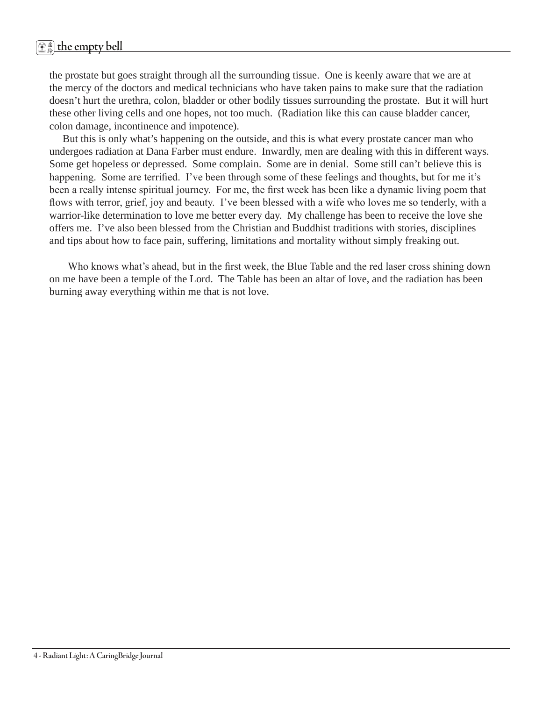the prostate but goes straight through all the surrounding tissue. One is keenly aware that we are at the mercy of the doctors and medical technicians who have taken pains to make sure that the radiation doesn't hurt the urethra, colon, bladder or other bodily tissues surrounding the prostate. But it will hurt these other living cells and one hopes, not too much. (Radiation like this can cause bladder cancer, colon damage, incontinence and impotence).

 But this is only what's happening on the outside, and this is what every prostate cancer man who undergoes radiation at Dana Farber must endure. Inwardly, men are dealing with this in different ways. Some get hopeless or depressed. Some complain. Some are in denial. Some still can't believe this is happening. Some are terrified. I've been through some of these feelings and thoughts, but for me it's been a really intense spiritual journey. For me, the first week has been like a dynamic living poem that flows with terror, grief, joy and beauty. I've been blessed with a wife who loves me so tenderly, with a warrior-like determination to love me better every day. My challenge has been to receive the love she offers me. I've also been blessed from the Christian and Buddhist traditions with stories, disciplines and tips about how to face pain, suffering, limitations and mortality without simply freaking out.

 Who knows what's ahead, but in the first week, the Blue Table and the red laser cross shining down on me have been a temple of the Lord. The Table has been an altar of love, and the radiation has been burning away everything within me that is not love.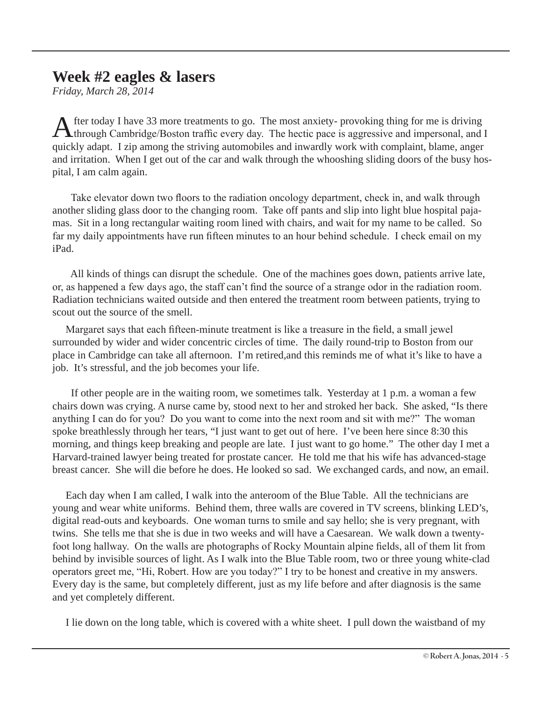# **Week #2 eagles & lasers**

*Friday, March 28, 2014*

After today I have 33 more treatments to go. The most anxiety- provoking thing for me is driving through Cambridge/Boston traffic every day. The hectic pace is aggressive and impersonal, and I quickly adapt. I zip among the striving automobiles and inwardly work with complaint, blame, anger and irritation. When I get out of the car and walk through the whooshing sliding doors of the busy hospital, I am calm again.

 Take elevator down two floors to the radiation oncology department, check in, and walk through another sliding glass door to the changing room. Take off pants and slip into light blue hospital pajamas. Sit in a long rectangular waiting room lined with chairs, and wait for my name to be called. So far my daily appointments have run fifteen minutes to an hour behind schedule. I check email on my iPad.

 All kinds of things can disrupt the schedule. One of the machines goes down, patients arrive late, or, as happened a few days ago, the staff can't find the source of a strange odor in the radiation room. Radiation technicians waited outside and then entered the treatment room between patients, trying to scout out the source of the smell.

 Margaret says that each fifteen-minute treatment is like a treasure in the field, a small jewel surrounded by wider and wider concentric circles of time. The daily round-trip to Boston from our place in Cambridge can take all afternoon. I'm retired,and this reminds me of what it's like to have a job. It's stressful, and the job becomes your life.

 If other people are in the waiting room, we sometimes talk. Yesterday at 1 p.m. a woman a few chairs down was crying. A nurse came by, stood next to her and stroked her back. She asked, "Is there anything I can do for you? Do you want to come into the next room and sit with me?" The woman spoke breathlessly through her tears, "I just want to get out of here. I've been here since 8:30 this morning, and things keep breaking and people are late. I just want to go home." The other day I met a Harvard-trained lawyer being treated for prostate cancer. He told me that his wife has advanced-stage breast cancer. She will die before he does. He looked so sad. We exchanged cards, and now, an email.

 Each day when I am called, I walk into the anteroom of the Blue Table. All the technicians are young and wear white uniforms. Behind them, three walls are covered in TV screens, blinking LED's, digital read-outs and keyboards. One woman turns to smile and say hello; she is very pregnant, with twins. She tells me that she is due in two weeks and will have a Caesarean. We walk down a twentyfoot long hallway. On the walls are photographs of Rocky Mountain alpine fields, all of them lit from behind by invisible sources of light. As I walk into the Blue Table room, two or three young white-clad operators greet me, "Hi, Robert. How are you today?" I try to be honest and creative in my answers. Every day is the same, but completely different, just as my life before and after diagnosis is the same and yet completely different.

I lie down on the long table, which is covered with a white sheet. I pull down the waistband of my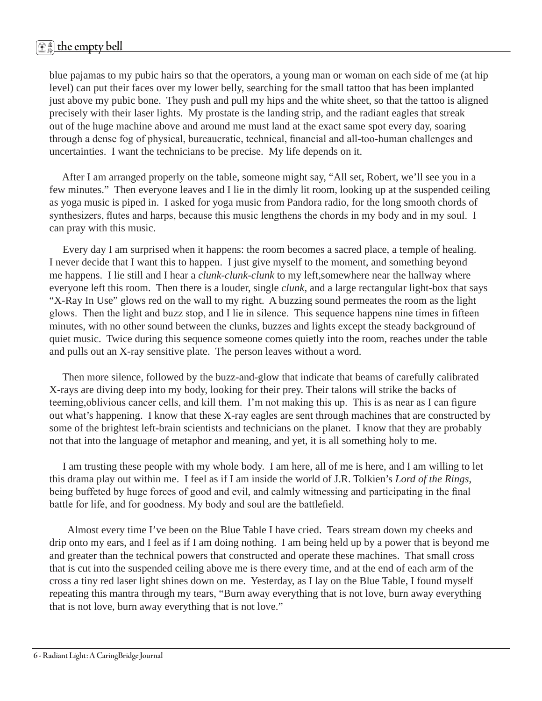blue pajamas to my pubic hairs so that the operators, a young man or woman on each side of me (at hip level) can put their faces over my lower belly, searching for the small tattoo that has been implanted just above my pubic bone. They push and pull my hips and the white sheet, so that the tattoo is aligned precisely with their laser lights. My prostate is the landing strip, and the radiant eagles that streak out of the huge machine above and around me must land at the exact same spot every day, soaring through a dense fog of physical, bureaucratic, technical, financial and all-too-human challenges and uncertainties. I want the technicians to be precise. My life depends on it.

 After I am arranged properly on the table, someone might say, "All set, Robert, we'll see you in a few minutes." Then everyone leaves and I lie in the dimly lit room, looking up at the suspended ceiling as yoga music is piped in. I asked for yoga music from Pandora radio, for the long smooth chords of synthesizers, flutes and harps, because this music lengthens the chords in my body and in my soul. I can pray with this music.

 Every day I am surprised when it happens: the room becomes a sacred place, a temple of healing. I never decide that I want this to happen. I just give myself to the moment, and something beyond me happens. I lie still and I hear a *clunk-clunk-clunk* to my left,somewhere near the hallway where everyone left this room. Then there is a louder, single *clunk,* and a large rectangular light-box that says "X-Ray In Use" glows red on the wall to my right. A buzzing sound permeates the room as the light glows. Then the light and buzz stop, and I lie in silence. This sequence happens nine times in fifteen minutes, with no other sound between the clunks, buzzes and lights except the steady background of quiet music. Twice during this sequence someone comes quietly into the room, reaches under the table and pulls out an X-ray sensitive plate. The person leaves without a word.

 Then more silence, followed by the buzz-and-glow that indicate that beams of carefully calibrated X-rays are diving deep into my body, looking for their prey. Their talons will strike the backs of teeming,oblivious cancer cells, and kill them. I'm not making this up. This is as near as I can figure out what's happening. I know that these X-ray eagles are sent through machines that are constructed by some of the brightest left-brain scientists and technicians on the planet. I know that they are probably not that into the language of metaphor and meaning, and yet, it is all something holy to me.

 I am trusting these people with my whole body. I am here, all of me is here, and I am willing to let this drama play out within me. I feel as if I am inside the world of J.R. Tolkien's *Lord of the Rings*, being buffeted by huge forces of good and evil, and calmly witnessing and participating in the final battle for life, and for goodness. My body and soul are the battlefield.

 Almost every time I've been on the Blue Table I have cried. Tears stream down my cheeks and drip onto my ears, and I feel as if I am doing nothing. I am being held up by a power that is beyond me and greater than the technical powers that constructed and operate these machines. That small cross that is cut into the suspended ceiling above me is there every time, and at the end of each arm of the cross a tiny red laser light shines down on me. Yesterday, as I lay on the Blue Table, I found myself repeating this mantra through my tears, "Burn away everything that is not love, burn away everything that is not love, burn away everything that is not love."

**6 - Radiant Light: A CaringBridge Journal**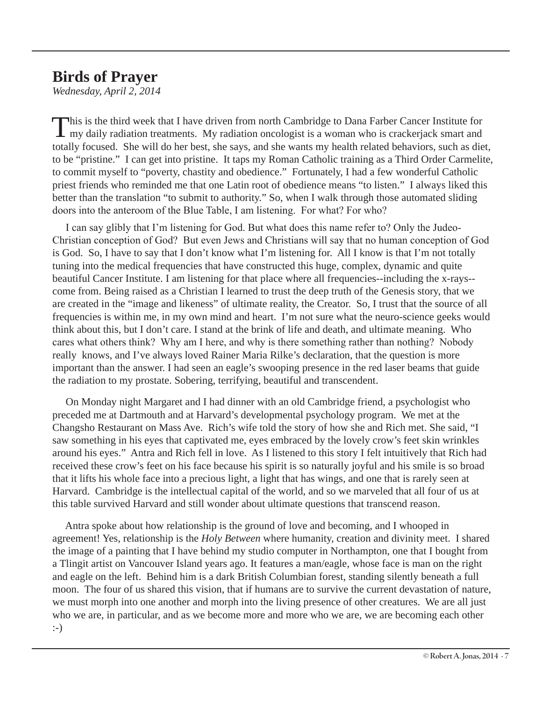# **Birds of Prayer**

*Wednesday, April 2, 2014*

This is the third week that I have driven from north Cambridge to Dana Farber Cancer Institute for my daily radiation treatments. My radiation oncologist is a woman who is crackerjack smart and totally focused. She will do her best, she says, and she wants my health related behaviors, such as diet, to be "pristine." I can get into pristine. It taps my Roman Catholic training as a Third Order Carmelite, to commit myself to "poverty, chastity and obedience." Fortunately, I had a few wonderful Catholic priest friends who reminded me that one Latin root of obedience means "to listen." I always liked this better than the translation "to submit to authority." So, when I walk through those automated sliding doors into the anteroom of the Blue Table, I am listening. For what? For who?

 I can say glibly that I'm listening for God. But what does this name refer to? Only the Judeo-Christian conception of God? But even Jews and Christians will say that no human conception of God is God. So, I have to say that I don't know what I'm listening for. All I know is that I'm not totally tuning into the medical frequencies that have constructed this huge, complex, dynamic and quite beautiful Cancer Institute. I am listening for that place where all frequencies--including the x-rays- come from. Being raised as a Christian I learned to trust the deep truth of the Genesis story, that we are created in the "image and likeness" of ultimate reality, the Creator. So, I trust that the source of all frequencies is within me, in my own mind and heart. I'm not sure what the neuro-science geeks would think about this, but I don't care. I stand at the brink of life and death, and ultimate meaning. Who cares what others think? Why am I here, and why is there something rather than nothing? Nobody really knows, and I've always loved Rainer Maria Rilke's declaration, that the question is more important than the answer. I had seen an eagle's swooping presence in the red laser beams that guide the radiation to my prostate. Sobering, terrifying, beautiful and transcendent.

 On Monday night Margaret and I had dinner with an old Cambridge friend, a psychologist who preceded me at Dartmouth and at Harvard's developmental psychology program. We met at the Changsho Restaurant on Mass Ave. Rich's wife told the story of how she and Rich met. She said, "I saw something in his eyes that captivated me, eyes embraced by the lovely crow's feet skin wrinkles around his eyes." Antra and Rich fell in love. As I listened to this story I felt intuitively that Rich had received these crow's feet on his face because his spirit is so naturally joyful and his smile is so broad that it lifts his whole face into a precious light, a light that has wings, and one that is rarely seen at Harvard. Cambridge is the intellectual capital of the world, and so we marveled that all four of us at this table survived Harvard and still wonder about ultimate questions that transcend reason.

 Antra spoke about how relationship is the ground of love and becoming, and I whooped in agreement! Yes, relationship is the *Holy Between* where humanity, creation and divinity meet. I shared the image of a painting that I have behind my studio computer in Northampton, one that I bought from a Tlingit artist on Vancouver Island years ago. It features a man/eagle, whose face is man on the right and eagle on the left. Behind him is a dark British Columbian forest, standing silently beneath a full moon. The four of us shared this vision, that if humans are to survive the current devastation of nature, we must morph into one another and morph into the living presence of other creatures. We are all just who we are, in particular, and as we become more and more who we are, we are becoming each other :-)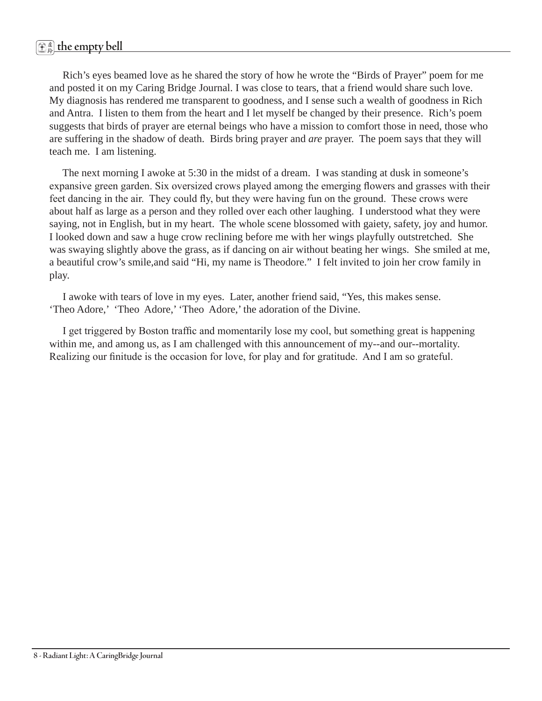# 虚 <sup>鈴</sup> **the empty bell**

 Rich's eyes beamed love as he shared the story of how he wrote the "Birds of Prayer" poem for me and posted it on my Caring Bridge Journal. I was close to tears, that a friend would share such love. My diagnosis has rendered me transparent to goodness, and I sense such a wealth of goodness in Rich and Antra. I listen to them from the heart and I let myself be changed by their presence. Rich's poem suggests that birds of prayer are eternal beings who have a mission to comfort those in need, those who are suffering in the shadow of death. Birds bring prayer and *are* prayer. The poem says that they will teach me. I am listening.

 The next morning I awoke at 5:30 in the midst of a dream. I was standing at dusk in someone's expansive green garden. Six oversized crows played among the emerging flowers and grasses with their feet dancing in the air. They could fly, but they were having fun on the ground. These crows were about half as large as a person and they rolled over each other laughing. I understood what they were saying, not in English, but in my heart. The whole scene blossomed with gaiety, safety, joy and humor. I looked down and saw a huge crow reclining before me with her wings playfully outstretched. She was swaying slightly above the grass, as if dancing on air without beating her wings. She smiled at me, a beautiful crow's smile,and said "Hi, my name is Theodore." I felt invited to join her crow family in play.

 I awoke with tears of love in my eyes. Later, another friend said, "Yes, this makes sense. 'Theo Adore,' 'Theo Adore,' 'Theo Adore,' the adoration of the Divine.

 I get triggered by Boston traffic and momentarily lose my cool, but something great is happening within me, and among us, as I am challenged with this announcement of my--and our--mortality. Realizing our finitude is the occasion for love, for play and for gratitude. And I am so grateful.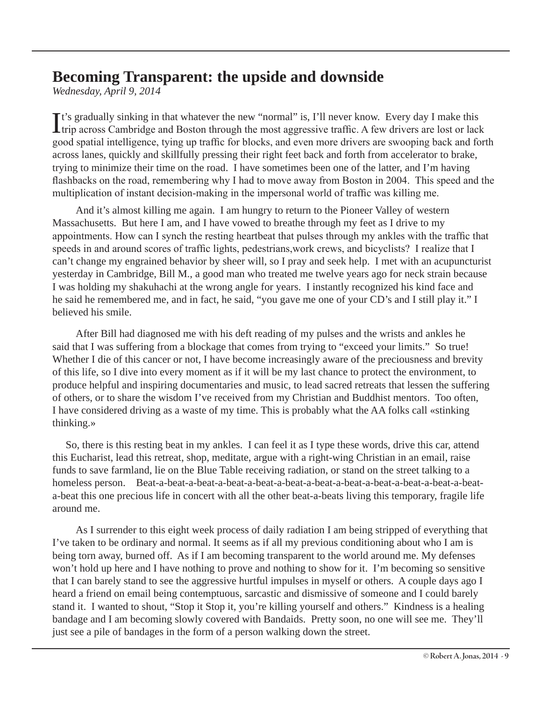# **Becoming Transparent: the upside and downside**

*Wednesday, April 9, 2014*

It's gradually sinking in that whatever the new "normal" is, I'll never know. Every day I make this trip across Cambridge and Boston through the most aggressive traffic. A few drivers are lost or lack trip across Cambridge and Boston through the most aggressive traffic. A few drivers are lost or lack good spatial intelligence, tying up traffic for blocks, and even more drivers are swooping back and forth across lanes, quickly and skillfully pressing their right feet back and forth from accelerator to brake, trying to minimize their time on the road. I have sometimes been one of the latter, and I'm having flashbacks on the road, remembering why I had to move away from Boston in 2004. This speed and the multiplication of instant decision-making in the impersonal world of traffic was killing me.

 And it's almost killing me again. I am hungry to return to the Pioneer Valley of western Massachusetts. But here I am, and I have vowed to breathe through my feet as I drive to my appointments. How can I synch the resting heartbeat that pulses through my ankles with the traffic that speeds in and around scores of traffic lights, pedestrians,work crews, and bicyclists? I realize that I can't change my engrained behavior by sheer will, so I pray and seek help. I met with an acupuncturist yesterday in Cambridge, Bill M., a good man who treated me twelve years ago for neck strain because I was holding my shakuhachi at the wrong angle for years. I instantly recognized his kind face and he said he remembered me, and in fact, he said, "you gave me one of your CD's and I still play it." I believed his smile.

 After Bill had diagnosed me with his deft reading of my pulses and the wrists and ankles he said that I was suffering from a blockage that comes from trying to "exceed your limits." So true! Whether I die of this cancer or not, I have become increasingly aware of the preciousness and brevity of this life, so I dive into every moment as if it will be my last chance to protect the environment, to produce helpful and inspiring documentaries and music, to lead sacred retreats that lessen the suffering of others, or to share the wisdom I've received from my Christian and Buddhist mentors. Too often, I have considered driving as a waste of my time. This is probably what the AA folks call «stinking thinking.»

 So, there is this resting beat in my ankles. I can feel it as I type these words, drive this car, attend this Eucharist, lead this retreat, shop, meditate, argue with a right-wing Christian in an email, raise funds to save farmland, lie on the Blue Table receiving radiation, or stand on the street talking to a homeless person. Beat-a-beat-a-beat-a-beat-a-beat-a-beat-a-beat-a-beat-a-beat-a-beat-a-beat-a-beata-beat this one precious life in concert with all the other beat-a-beats living this temporary, fragile life around me.

 As I surrender to this eight week process of daily radiation I am being stripped of everything that I've taken to be ordinary and normal. It seems as if all my previous conditioning about who I am is being torn away, burned off. As if I am becoming transparent to the world around me. My defenses won't hold up here and I have nothing to prove and nothing to show for it. I'm becoming so sensitive that I can barely stand to see the aggressive hurtful impulses in myself or others. A couple days ago I heard a friend on email being contemptuous, sarcastic and dismissive of someone and I could barely stand it. I wanted to shout, "Stop it Stop it, you're killing yourself and others." Kindness is a healing bandage and I am becoming slowly covered with Bandaids. Pretty soon, no one will see me. They'll just see a pile of bandages in the form of a person walking down the street.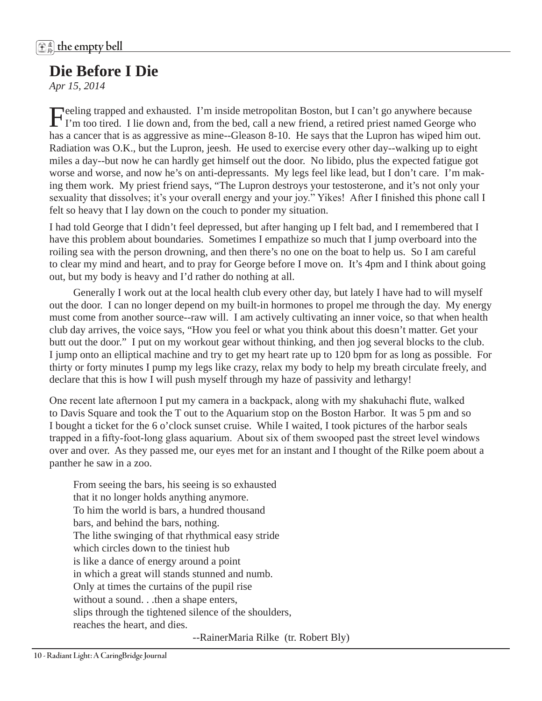# **Die Before I Die**

*Apr 15, 2014*

Feeling trapped and exhausted. I'm inside metropolitan Boston, but I can't go anywhere because<br>I'm too tired. I lie down and, from the bed, call a new friend, a retired priest named George who has a cancer that is as aggressive as mine--Gleason 8-10. He says that the Lupron has wiped him out. Radiation was O.K., but the Lupron, jeesh. He used to exercise every other day--walking up to eight miles a day--but now he can hardly get himself out the door. No libido, plus the expected fatigue got worse and worse, and now he's on anti-depressants. My legs feel like lead, but I don't care. I'm making them work. My priest friend says, "The Lupron destroys your testosterone, and it's not only your sexuality that dissolves; it's your overall energy and your joy." Yikes! After I finished this phone call I felt so heavy that I lay down on the couch to ponder my situation.

I had told George that I didn't feel depressed, but after hanging up I felt bad, and I remembered that I have this problem about boundaries. Sometimes I empathize so much that I jump overboard into the roiling sea with the person drowning, and then there's no one on the boat to help us. So I am careful to clear my mind and heart, and to pray for George before I move on. It's 4pm and I think about going out, but my body is heavy and I'd rather do nothing at all.

 Generally I work out at the local health club every other day, but lately I have had to will myself out the door. I can no longer depend on my built-in hormones to propel me through the day. My energy must come from another source--raw will. I am actively cultivating an inner voice, so that when health club day arrives, the voice says, "How you feel or what you think about this doesn't matter. Get your butt out the door." I put on my workout gear without thinking, and then jog several blocks to the club. I jump onto an elliptical machine and try to get my heart rate up to 120 bpm for as long as possible. For thirty or forty minutes I pump my legs like crazy, relax my body to help my breath circulate freely, and declare that this is how I will push myself through my haze of passivity and lethargy!

One recent late afternoon I put my camera in a backpack, along with my shakuhachi flute, walked to Davis Square and took the T out to the Aquarium stop on the Boston Harbor. It was 5 pm and so I bought a ticket for the 6 o'clock sunset cruise. While I waited, I took pictures of the harbor seals trapped in a fifty-foot-long glass aquarium. About six of them swooped past the street level windows over and over. As they passed me, our eyes met for an instant and I thought of the Rilke poem about a panther he saw in a zoo.

From seeing the bars, his seeing is so exhausted that it no longer holds anything anymore. To him the world is bars, a hundred thousand bars, and behind the bars, nothing. The lithe swinging of that rhythmical easy stride which circles down to the tiniest hub is like a dance of energy around a point in which a great will stands stunned and numb. Only at times the curtains of the pupil rise without a sound. . .then a shape enters, slips through the tightened silence of the shoulders, reaches the heart, and dies.

--RainerMaria Rilke (tr. Robert Bly)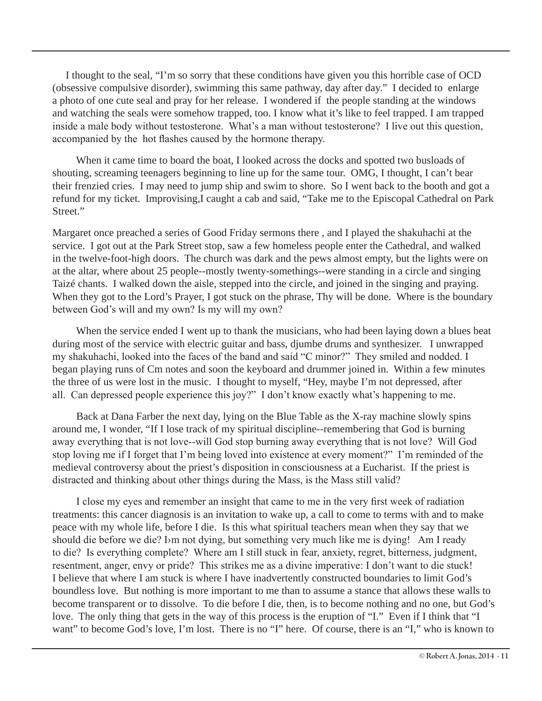I thought to the seal, "I'm so sorry that these conditions have given you this horrible case of OCD (obsessive compulsive disorder), swimming this same pathway, day after day." I decided to enlarge a photo of one cute seal and pray for her release. I wondered if the people standing at the windows and watching the seals were somehow trapped, too. I know what it's like to feel trapped. I am trapped inside a male body without testosterone. What's a man without testosterone? I live out this question, accompanied by the hot flashes caused by the hormone therapy.

 When it came time to board the boat, I looked across the docks and spotted two busloads of shouting, screaming teenagers beginning to line up for the same tour. OMG, I thought, I can't bear their frenzied cries. I may need to jump ship and swim to shore. So I went back to the booth and got a refund for my ticket. Improvising,I caught a cab and said, "Take me to the Episcopal Cathedral on Park Street."

Margaret once preached a series of Good Friday sermons there , and I played the shakuhachi at the service. I got out at the Park Street stop, saw a few homeless people enter the Cathedral, and walked in the twelve-foot-high doors. The church was dark and the pews almost empty, but the lights were on at the altar, where about 25 people--mostly twenty-somethings--were standing in a circle and singing Taizé chants. I walked down the aisle, stepped into the circle, and joined in the singing and praying. When they got to the Lord's Prayer, I got stuck on the phrase, Thy will be done. Where is the boundary between God's will and my own? Is my will my own?

When the service ended I went up to thank the musicians, who had been laying down a blues beat during most of the service with electric guitar and bass, djumbe drums and synthesizer. I unwrapped my shakuhachi, looked into the faces of the band and said "C minor?" They smiled and nodded. I began playing runs of Cm notes and soon the keyboard and drummer joined in. Within a few minutes the three of us were lost in the music. I thought to myself, "Hey, maybe I'm not depressed, after all. Can depressed people experience this joy?" I don't know exactly what's happening to me.

 Back at Dana Farber the next day, lying on the Blue Table as the X-ray machine slowly spins around me, I wonder, "If I lose track of my spiritual discipline--remembering that God is burning away everything that is not love--will God stop burning away everything that is not love? Will God stop loving me if I forget that I'm being loved into existence at every moment?" I'm reminded of the medieval controversy about the priest's disposition in consciousness at a Eucharist. If the priest is distracted and thinking about other things during the Mass, is the Mass still valid?

 I close my eyes and remember an insight that came to me in the very first week of radiation treatments: this cancer diagnosis is an invitation to wake up, a call to come to terms with and to make peace with my whole life, before I die. Is this what spiritual teachers mean when they say that we should die before we die? I›m not dying, but something very much like me is dying! Am I ready to die? Is everything complete? Where am I still stuck in fear, anxiety, regret, bitterness, judgment, resentment, anger, envy or pride? This strikes me as a divine imperative: I don't want to die stuck! I believe that where I am stuck is where I have inadvertently constructed boundaries to limit God's boundless love. But nothing is more important to me than to assume a stance that allows these walls to become transparent or to dissolve. To die before I die, then, is to become nothing and no one, but God's love. The only thing that gets in the way of this process is the eruption of "I." Even if I think that "I want" to become God's love, I'm lost. There is no "I" here. Of course, there is an "I," who is known to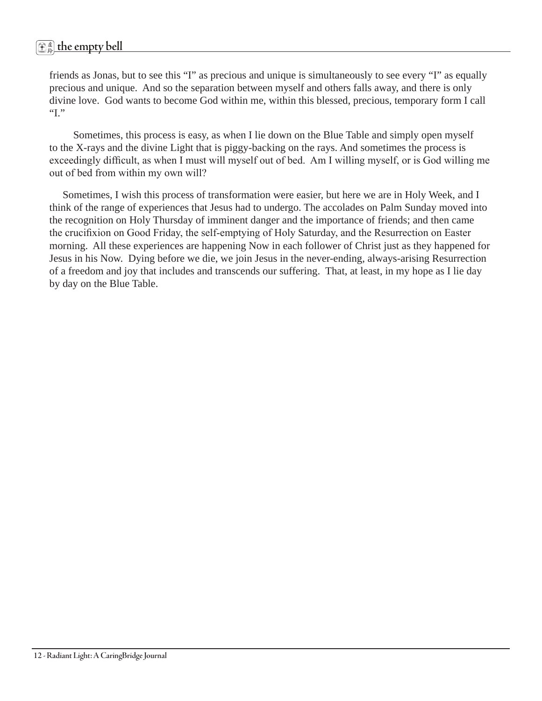# 虚 <sup>鈴</sup> **the empty bell**

friends as Jonas, but to see this "I" as precious and unique is simultaneously to see every "I" as equally precious and unique. And so the separation between myself and others falls away, and there is only divine love. God wants to become God within me, within this blessed, precious, temporary form I call "I."

 Sometimes, this process is easy, as when I lie down on the Blue Table and simply open myself to the X-rays and the divine Light that is piggy-backing on the rays. And sometimes the process is exceedingly difficult, as when I must will myself out of bed. Am I willing myself, or is God willing me out of bed from within my own will?

 Sometimes, I wish this process of transformation were easier, but here we are in Holy Week, and I think of the range of experiences that Jesus had to undergo. The accolades on Palm Sunday moved into the recognition on Holy Thursday of imminent danger and the importance of friends; and then came the crucifixion on Good Friday, the self-emptying of Holy Saturday, and the Resurrection on Easter morning. All these experiences are happening Now in each follower of Christ just as they happened for Jesus in his Now. Dying before we die, we join Jesus in the never-ending, always-arising Resurrection of a freedom and joy that includes and transcends our suffering. That, at least, in my hope as I lie day by day on the Blue Table.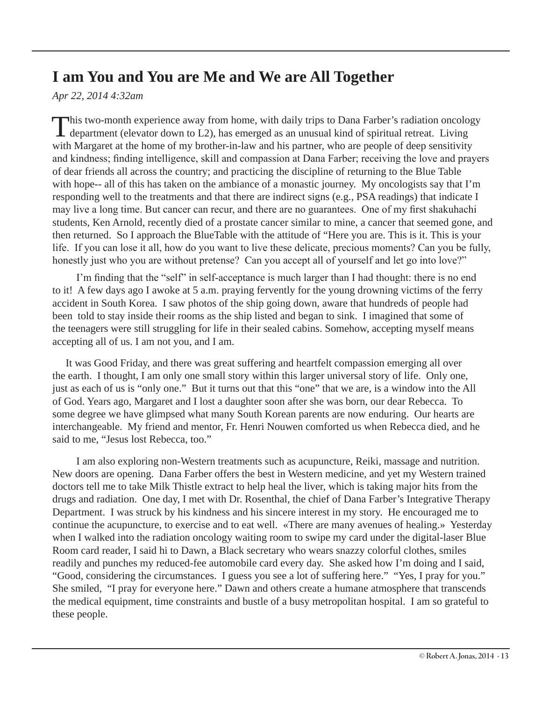# **I am You and You are Me and We are All Together**

*Apr 22, 2014 4:32am* 

This two-month experience away from home, with daily trips to Dana Farber's radiation oncology  $\blacksquare$  department (elevator down to L2), has emerged as an unusual kind of spiritual retreat. Living with Margaret at the home of my brother-in-law and his partner, who are people of deep sensitivity and kindness; finding intelligence, skill and compassion at Dana Farber; receiving the love and prayers of dear friends all across the country; and practicing the discipline of returning to the Blue Table with hope-- all of this has taken on the ambiance of a monastic journey. My oncologists say that I'm responding well to the treatments and that there are indirect signs (e.g., PSA readings) that indicate I may live a long time. But cancer can recur, and there are no guarantees. One of my first shakuhachi students, Ken Arnold, recently died of a prostate cancer similar to mine, a cancer that seemed gone, and then returned. So I approach the BlueTable with the attitude of "Here you are. This is it. This is your life. If you can lose it all, how do you want to live these delicate, precious moments? Can you be fully, honestly just who you are without pretense? Can you accept all of yourself and let go into love?"

 I'm finding that the "self" in self-acceptance is much larger than I had thought: there is no end to it! A few days ago I awoke at 5 a.m. praying fervently for the young drowning victims of the ferry accident in South Korea. I saw photos of the ship going down, aware that hundreds of people had been told to stay inside their rooms as the ship listed and began to sink. I imagined that some of the teenagers were still struggling for life in their sealed cabins. Somehow, accepting myself means accepting all of us. I am not you, and I am.

 It was Good Friday, and there was great suffering and heartfelt compassion emerging all over the earth. I thought, I am only one small story within this larger universal story of life. Only one, just as each of us is "only one." But it turns out that this "one" that we are, is a window into the All of God. Years ago, Margaret and I lost a daughter soon after she was born, our dear Rebecca. To some degree we have glimpsed what many South Korean parents are now enduring. Our hearts are interchangeable. My friend and mentor, Fr. Henri Nouwen comforted us when Rebecca died, and he said to me, "Jesus lost Rebecca, too."

 I am also exploring non-Western treatments such as acupuncture, Reiki, massage and nutrition. New doors are opening. Dana Farber offers the best in Western medicine, and yet my Western trained doctors tell me to take Milk Thistle extract to help heal the liver, which is taking major hits from the drugs and radiation. One day, I met with Dr. Rosenthal, the chief of Dana Farber's Integrative Therapy Department. I was struck by his kindness and his sincere interest in my story. He encouraged me to continue the acupuncture, to exercise and to eat well. «There are many avenues of healing.» Yesterday when I walked into the radiation oncology waiting room to swipe my card under the digital-laser Blue Room card reader, I said hi to Dawn, a Black secretary who wears snazzy colorful clothes, smiles readily and punches my reduced-fee automobile card every day. She asked how I'm doing and I said, "Good, considering the circumstances. I guess you see a lot of suffering here." "Yes, I pray for you." She smiled, "I pray for everyone here." Dawn and others create a humane atmosphere that transcends the medical equipment, time constraints and bustle of a busy metropolitan hospital. I am so grateful to these people.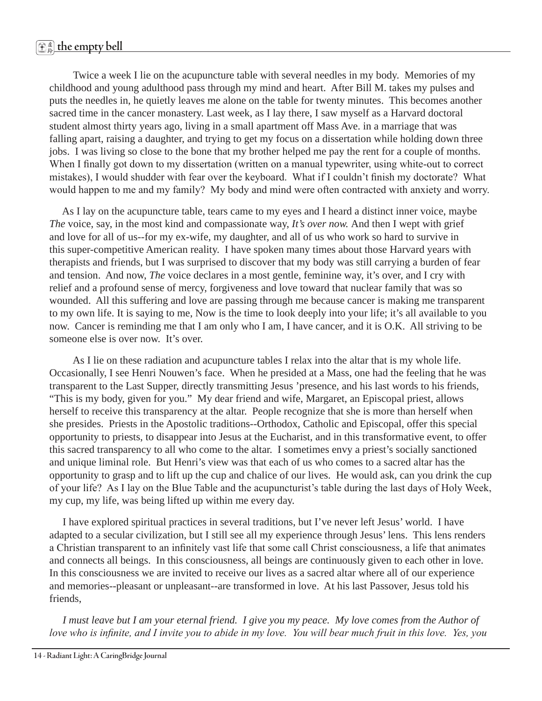# 虚 <sup>鈴</sup> **the empty bell**

 Twice a week I lie on the acupuncture table with several needles in my body. Memories of my childhood and young adulthood pass through my mind and heart. After Bill M. takes my pulses and puts the needles in, he quietly leaves me alone on the table for twenty minutes. This becomes another sacred time in the cancer monastery. Last week, as I lay there, I saw myself as a Harvard doctoral student almost thirty years ago, living in a small apartment off Mass Ave. in a marriage that was falling apart, raising a daughter, and trying to get my focus on a dissertation while holding down three jobs. I was living so close to the bone that my brother helped me pay the rent for a couple of months. When I finally got down to my dissertation (written on a manual typewriter, using white-out to correct mistakes), I would shudder with fear over the keyboard. What if I couldn't finish my doctorate? What would happen to me and my family? My body and mind were often contracted with anxiety and worry.

 As I lay on the acupuncture table, tears came to my eyes and I heard a distinct inner voice, maybe *The* voice, say, in the most kind and compassionate way, *It's over now.* And then I wept with grief and love for all of us--for my ex-wife, my daughter, and all of us who work so hard to survive in this super-competitive American reality. I have spoken many times about those Harvard years with therapists and friends, but I was surprised to discover that my body was still carrying a burden of fear and tension. And now, *The* voice declares in a most gentle, feminine way, it's over, and I cry with relief and a profound sense of mercy, forgiveness and love toward that nuclear family that was so wounded. All this suffering and love are passing through me because cancer is making me transparent to my own life. It is saying to me, Now is the time to look deeply into your life; it's all available to you now. Cancer is reminding me that I am only who I am, I have cancer, and it is O.K. All striving to be someone else is over now. It's over.

 As I lie on these radiation and acupuncture tables I relax into the altar that is my whole life. Occasionally, I see Henri Nouwen's face. When he presided at a Mass, one had the feeling that he was transparent to the Last Supper, directly transmitting Jesus 'presence, and his last words to his friends, "This is my body, given for you." My dear friend and wife, Margaret, an Episcopal priest, allows herself to receive this transparency at the altar. People recognize that she is more than herself when she presides. Priests in the Apostolic traditions--Orthodox, Catholic and Episcopal, offer this special opportunity to priests, to disappear into Jesus at the Eucharist, and in this transformative event, to offer this sacred transparency to all who come to the altar. I sometimes envy a priest's socially sanctioned and unique liminal role. But Henri's view was that each of us who comes to a sacred altar has the opportunity to grasp and to lift up the cup and chalice of our lives. He would ask, can you drink the cup of your life? As I lay on the Blue Table and the acupuncturist's table during the last days of Holy Week, my cup, my life, was being lifted up within me every day.

 I have explored spiritual practices in several traditions, but I've never left Jesus' world. I have adapted to a secular civilization, but I still see all my experience through Jesus' lens. This lens renders a Christian transparent to an infinitely vast life that some call Christ consciousness, a life that animates and connects all beings. In this consciousness, all beings are continuously given to each other in love. In this consciousness we are invited to receive our lives as a sacred altar where all of our experience and memories--pleasant or unpleasant--are transformed in love. At his last Passover, Jesus told his friends,

 *I must leave but I am your eternal friend. I give you my peace. My love comes from the Author of love who is infinite, and I invite you to abide in my love. You will bear much fruit in this love. Yes, you*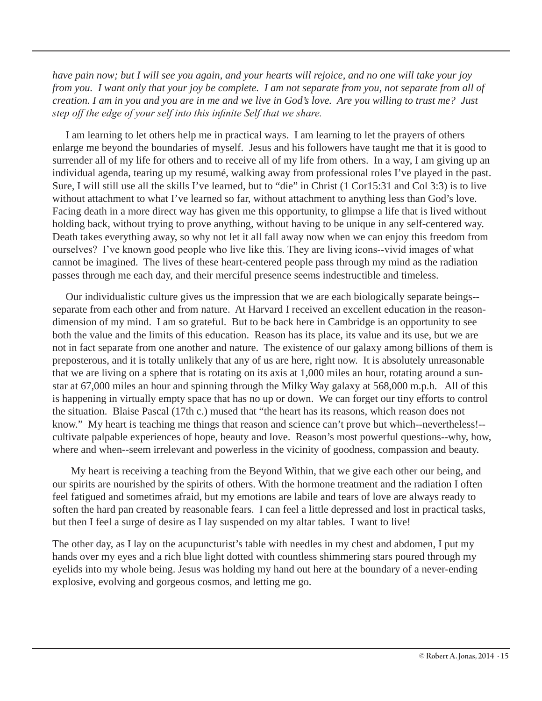*have pain now; but I will see you again, and your hearts will rejoice, and no one will take your joy from you. I want only that your joy be complete. I am not separate from you, not separate from all of creation. I am in you and you are in me and we live in God's love. Are you willing to trust me? Just step off the edge of your self into this infinite Self that we share.*

 I am learning to let others help me in practical ways. I am learning to let the prayers of others enlarge me beyond the boundaries of myself. Jesus and his followers have taught me that it is good to surrender all of my life for others and to receive all of my life from others. In a way, I am giving up an individual agenda, tearing up my resumé, walking away from professional roles I've played in the past. Sure, I will still use all the skills I've learned, but to "die" in Christ (1 Cor15:31 and Col 3:3) is to live without attachment to what I've learned so far, without attachment to anything less than God's love. Facing death in a more direct way has given me this opportunity, to glimpse a life that is lived without holding back, without trying to prove anything, without having to be unique in any self-centered way. Death takes everything away, so why not let it all fall away now when we can enjoy this freedom from ourselves? I've known good people who live like this. They are living icons--vivid images of what cannot be imagined. The lives of these heart-centered people pass through my mind as the radiation passes through me each day, and their merciful presence seems indestructible and timeless.

 Our individualistic culture gives us the impression that we are each biologically separate beings- separate from each other and from nature. At Harvard I received an excellent education in the reasondimension of my mind. I am so grateful. But to be back here in Cambridge is an opportunity to see both the value and the limits of this education. Reason has its place, its value and its use, but we are not in fact separate from one another and nature. The existence of our galaxy among billions of them is preposterous, and it is totally unlikely that any of us are here, right now. It is absolutely unreasonable that we are living on a sphere that is rotating on its axis at 1,000 miles an hour, rotating around a sunstar at 67,000 miles an hour and spinning through the Milky Way galaxy at 568,000 m.p.h. All of this is happening in virtually empty space that has no up or down. We can forget our tiny efforts to control the situation. Blaise Pascal (17th c.) mused that "the heart has its reasons, which reason does not know." My heart is teaching me things that reason and science can't prove but which--nevertheless!- cultivate palpable experiences of hope, beauty and love. Reason's most powerful questions--why, how, where and when--seem irrelevant and powerless in the vicinity of goodness, compassion and beauty.

 My heart is receiving a teaching from the Beyond Within, that we give each other our being, and our spirits are nourished by the spirits of others. With the hormone treatment and the radiation I often feel fatigued and sometimes afraid, but my emotions are labile and tears of love are always ready to soften the hard pan created by reasonable fears. I can feel a little depressed and lost in practical tasks, but then I feel a surge of desire as I lay suspended on my altar tables. I want to live!

The other day, as I lay on the acupuncturist's table with needles in my chest and abdomen, I put my hands over my eyes and a rich blue light dotted with countless shimmering stars poured through my eyelids into my whole being. Jesus was holding my hand out here at the boundary of a never-ending explosive, evolving and gorgeous cosmos, and letting me go.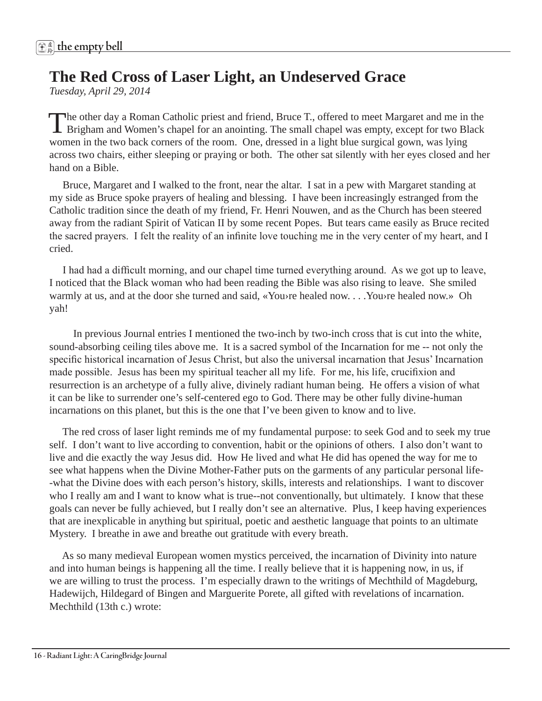# **The Red Cross of Laser Light, an Undeserved Grace**

*Tuesday, April 29, 2014*

The other day a Roman Catholic priest and friend, Bruce T., offered to meet Margaret and me in the Brigham and Women's chapel for an anointing. The small chapel was empty, except for two Black women in the two back corners of the room. One, dressed in a light blue surgical gown, was lying across two chairs, either sleeping or praying or both. The other sat silently with her eyes closed and her hand on a Bible.

 Bruce, Margaret and I walked to the front, near the altar. I sat in a pew with Margaret standing at my side as Bruce spoke prayers of healing and blessing. I have been increasingly estranged from the Catholic tradition since the death of my friend, Fr. Henri Nouwen, and as the Church has been steered away from the radiant Spirit of Vatican II by some recent Popes. But tears came easily as Bruce recited the sacred prayers. I felt the reality of an infinite love touching me in the very center of my heart, and I cried.

 I had had a difficult morning, and our chapel time turned everything around. As we got up to leave, I noticed that the Black woman who had been reading the Bible was also rising to leave. She smiled warmly at us, and at the door she turned and said, «You›re healed now. . . .You›re healed now.» Oh yah!

 In previous Journal entries I mentioned the two-inch by two-inch cross that is cut into the white, sound-absorbing ceiling tiles above me. It is a sacred symbol of the Incarnation for me -- not only the specific historical incarnation of Jesus Christ, but also the universal incarnation that Jesus' Incarnation made possible. Jesus has been my spiritual teacher all my life. For me, his life, crucifixion and resurrection is an archetype of a fully alive, divinely radiant human being. He offers a vision of what it can be like to surrender one's self-centered ego to God. There may be other fully divine-human incarnations on this planet, but this is the one that I've been given to know and to live.

 The red cross of laser light reminds me of my fundamental purpose: to seek God and to seek my true self. I don't want to live according to convention, habit or the opinions of others. I also don't want to live and die exactly the way Jesus did. How He lived and what He did has opened the way for me to see what happens when the Divine Mother-Father puts on the garments of any particular personal life- -what the Divine does with each person's history, skills, interests and relationships. I want to discover who I really am and I want to know what is true--not conventionally, but ultimately. I know that these goals can never be fully achieved, but I really don't see an alternative. Plus, I keep having experiences that are inexplicable in anything but spiritual, poetic and aesthetic language that points to an ultimate Mystery. I breathe in awe and breathe out gratitude with every breath.

 As so many medieval European women mystics perceived, the incarnation of Divinity into nature and into human beings is happening all the time. I really believe that it is happening now, in us, if we are willing to trust the process. I'm especially drawn to the writings of Mechthild of Magdeburg, Hadewijch, Hildegard of Bingen and Marguerite Porete, all gifted with revelations of incarnation. Mechthild (13th c.) wrote: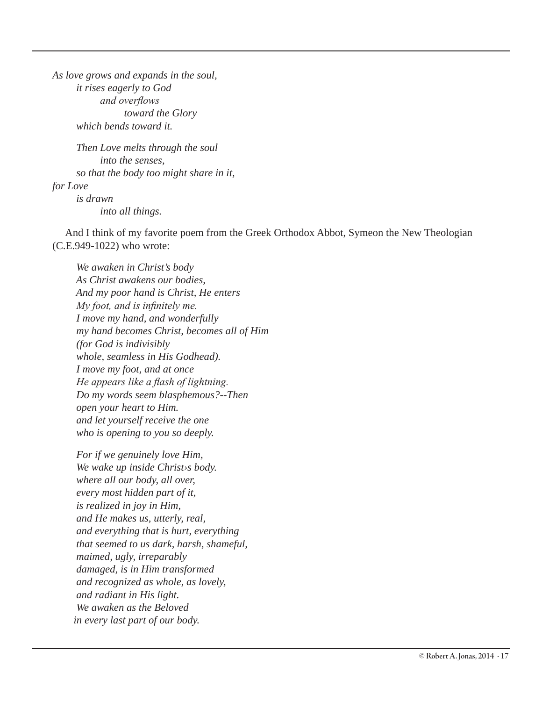*As love grows and expands in the soul, it rises eagerly to God and overflows toward the Glory which bends toward it.*

 *Then Love melts through the soul into the senses, so that the body too might share in it, for Love is drawn into all things.*

 And I think of my favorite poem from the Greek Orthodox Abbot, Symeon the New Theologian (C.E.949-1022) who wrote:

 *We awaken in Christ's body As Christ awakens our bodies, And my poor hand is Christ, He enters My foot, and is infinitely me. I move my hand, and wonderfully my hand becomes Christ, becomes all of Him (for God is indivisibly whole, seamless in His Godhead). I move my foot, and at once He appears like a flash of lightning. Do my words seem blasphemous?--Then open your heart to Him. and let yourself receive the one who is opening to you so deeply.*

 *For if we genuinely love Him, We wake up inside Christ›s body. where all our body, all over, every most hidden part of it, is realized in joy in Him, and He makes us, utterly, real, and everything that is hurt, everything that seemed to us dark, harsh, shameful, maimed, ugly, irreparably damaged, is in Him transformed and recognized as whole, as lovely, and radiant in His light. We awaken as the Beloved in every last part of our body.*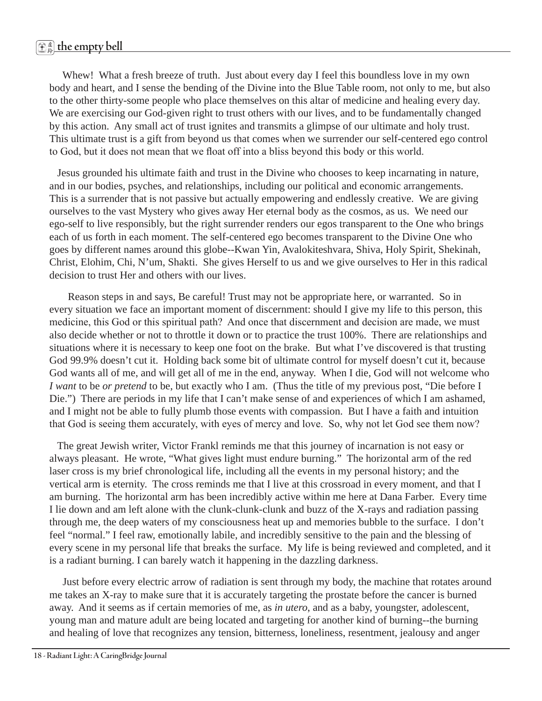Whew! What a fresh breeze of truth. Just about every day I feel this boundless love in my own body and heart, and I sense the bending of the Divine into the Blue Table room, not only to me, but also to the other thirty-some people who place themselves on this altar of medicine and healing every day. We are exercising our God-given right to trust others with our lives, and to be fundamentally changed by this action. Any small act of trust ignites and transmits a glimpse of our ultimate and holy trust. This ultimate trust is a gift from beyond us that comes when we surrender our self-centered ego control to God, but it does not mean that we float off into a bliss beyond this body or this world.

 Jesus grounded his ultimate faith and trust in the Divine who chooses to keep incarnating in nature, and in our bodies, psyches, and relationships, including our political and economic arrangements. This is a surrender that is not passive but actually empowering and endlessly creative. We are giving ourselves to the vast Mystery who gives away Her eternal body as the cosmos, as us. We need our ego-self to live responsibly, but the right surrender renders our egos transparent to the One who brings each of us forth in each moment. The self-centered ego becomes transparent to the Divine One who goes by different names around this globe--Kwan Yin, Avalokiteshvara, Shiva, Holy Spirit, Shekinah, Christ, Elohim, Chi, N'um, Shakti. She gives Herself to us and we give ourselves to Her in this radical decision to trust Her and others with our lives.

 Reason steps in and says, Be careful! Trust may not be appropriate here, or warranted. So in every situation we face an important moment of discernment: should I give my life to this person, this medicine, this God or this spiritual path? And once that discernment and decision are made, we must also decide whether or not to throttle it down or to practice the trust 100%. There are relationships and situations where it is necessary to keep one foot on the brake. But what I've discovered is that trusting God 99.9% doesn't cut it. Holding back some bit of ultimate control for myself doesn't cut it, because God wants all of me, and will get all of me in the end, anyway. When I die, God will not welcome who *I want* to be *or pretend* to be, but exactly who I am. (Thus the title of my previous post, "Die before I Die.") There are periods in my life that I can't make sense of and experiences of which I am ashamed, and I might not be able to fully plumb those events with compassion. But I have a faith and intuition that God is seeing them accurately, with eyes of mercy and love. So, why not let God see them now?

 The great Jewish writer, Victor Frankl reminds me that this journey of incarnation is not easy or always pleasant. He wrote, "What gives light must endure burning." The horizontal arm of the red laser cross is my brief chronological life, including all the events in my personal history; and the vertical arm is eternity. The cross reminds me that I live at this crossroad in every moment, and that I am burning. The horizontal arm has been incredibly active within me here at Dana Farber. Every time I lie down and am left alone with the clunk-clunk-clunk and buzz of the X-rays and radiation passing through me, the deep waters of my consciousness heat up and memories bubble to the surface. I don't feel "normal." I feel raw, emotionally labile, and incredibly sensitive to the pain and the blessing of every scene in my personal life that breaks the surface. My life is being reviewed and completed, and it is a radiant burning. I can barely watch it happening in the dazzling darkness.

 Just before every electric arrow of radiation is sent through my body, the machine that rotates around me takes an X-ray to make sure that it is accurately targeting the prostate before the cancer is burned away. And it seems as if certain memories of me, as *in utero*, and as a baby, youngster, adolescent, young man and mature adult are being located and targeting for another kind of burning--the burning and healing of love that recognizes any tension, bitterness, loneliness, resentment, jealousy and anger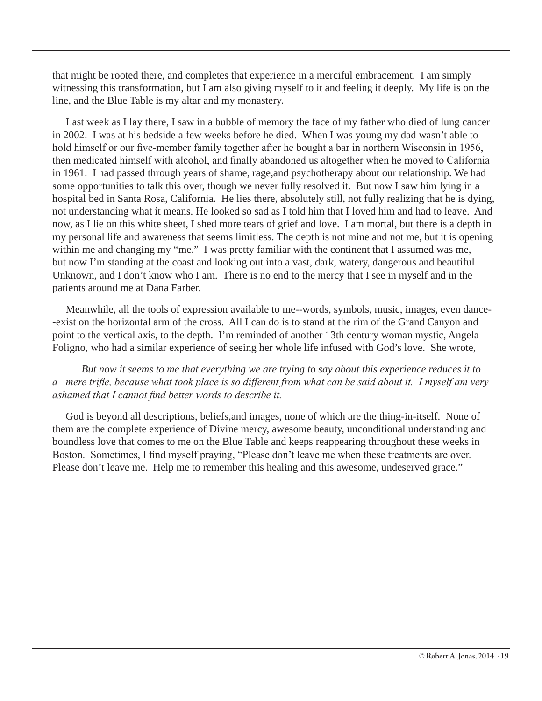that might be rooted there, and completes that experience in a merciful embracement. I am simply witnessing this transformation, but I am also giving myself to it and feeling it deeply. My life is on the line, and the Blue Table is my altar and my monastery.

 Last week as I lay there, I saw in a bubble of memory the face of my father who died of lung cancer in 2002. I was at his bedside a few weeks before he died. When I was young my dad wasn't able to hold himself or our five-member family together after he bought a bar in northern Wisconsin in 1956, then medicated himself with alcohol, and finally abandoned us altogether when he moved to California in 1961. I had passed through years of shame, rage,and psychotherapy about our relationship. We had some opportunities to talk this over, though we never fully resolved it. But now I saw him lying in a hospital bed in Santa Rosa, California. He lies there, absolutely still, not fully realizing that he is dying, not understanding what it means. He looked so sad as I told him that I loved him and had to leave. And now, as I lie on this white sheet, I shed more tears of grief and love. I am mortal, but there is a depth in my personal life and awareness that seems limitless. The depth is not mine and not me, but it is opening within me and changing my "me." I was pretty familiar with the continent that I assumed was me, but now I'm standing at the coast and looking out into a vast, dark, watery, dangerous and beautiful Unknown, and I don't know who I am. There is no end to the mercy that I see in myself and in the patients around me at Dana Farber.

 Meanwhile, all the tools of expression available to me--words, symbols, music, images, even dance- -exist on the horizontal arm of the cross. All I can do is to stand at the rim of the Grand Canyon and point to the vertical axis, to the depth. I'm reminded of another 13th century woman mystic, Angela Foligno, who had a similar experience of seeing her whole life infused with God's love. She wrote,

 *But now it seems to me that everything we are trying to say about this experience reduces it to a mere trifle, because what took place is so different from what can be said about it. I myself am very ashamed that I cannot find better words to describe it.*

 God is beyond all descriptions, beliefs,and images, none of which are the thing-in-itself. None of them are the complete experience of Divine mercy, awesome beauty, unconditional understanding and boundless love that comes to me on the Blue Table and keeps reappearing throughout these weeks in Boston. Sometimes, I find myself praying, "Please don't leave me when these treatments are over. Please don't leave me. Help me to remember this healing and this awesome, undeserved grace."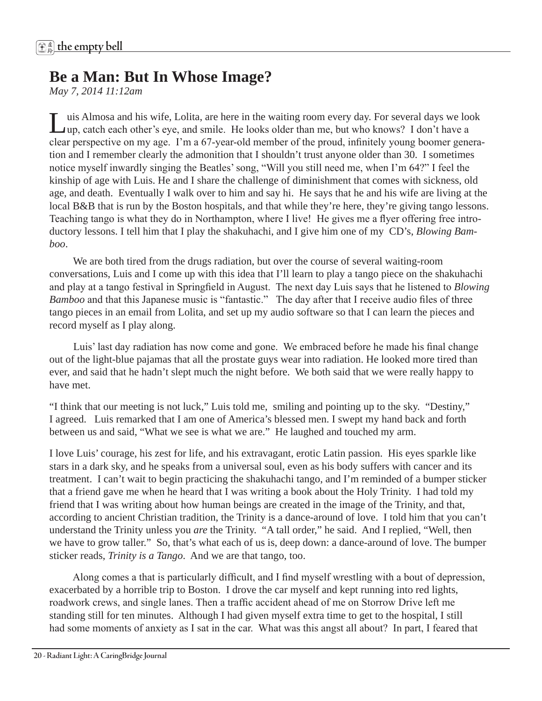# **Be a Man: But In Whose Image?**

*May 7, 2014 11:12am* 

uis Almosa and his wife, Lolita, are here in the waiting room every day. For several days we look up, catch each other's eye, and smile. He looks older than me, but who knows? I don't have a clear perspective on my age. I'm a 67-year-old member of the proud, infinitely young boomer generation and I remember clearly the admonition that I shouldn't trust anyone older than 30. I sometimes notice myself inwardly singing the Beatles' song, "Will you still need me, when I'm 64?" I feel the kinship of age with Luis. He and I share the challenge of diminishment that comes with sickness, old age, and death. Eventually I walk over to him and say hi. He says that he and his wife are living at the local B&B that is run by the Boston hospitals, and that while they're here, they're giving tango lessons. Teaching tango is what they do in Northampton, where I live! He gives me a flyer offering free introductory lessons. I tell him that I play the shakuhachi, and I give him one of my CD's, *Blowing Bamboo*.

 We are both tired from the drugs radiation, but over the course of several waiting-room conversations, Luis and I come up with this idea that I'll learn to play a tango piece on the shakuhachi and play at a tango festival in Springfield in August. The next day Luis says that he listened to *Blowing Bamboo* and that this Japanese music is "fantastic." The day after that I receive audio files of three tango pieces in an email from Lolita, and set up my audio software so that I can learn the pieces and record myself as I play along.

 Luis' last day radiation has now come and gone. We embraced before he made his final change out of the light-blue pajamas that all the prostate guys wear into radiation. He looked more tired than ever, and said that he hadn't slept much the night before. We both said that we were really happy to have met.

"I think that our meeting is not luck," Luis told me, smiling and pointing up to the sky. "Destiny," I agreed. Luis remarked that I am one of America's blessed men. I swept my hand back and forth between us and said, "What we see is what we are." He laughed and touched my arm.

I love Luis' courage, his zest for life, and his extravagant, erotic Latin passion. His eyes sparkle like stars in a dark sky, and he speaks from a universal soul, even as his body suffers with cancer and its treatment. I can't wait to begin practicing the shakuhachi tango, and I'm reminded of a bumper sticker that a friend gave me when he heard that I was writing a book about the Holy Trinity. I had told my friend that I was writing about how human beings are created in the image of the Trinity, and that, according to ancient Christian tradition, the Trinity is a dance-around of love. I told him that you can't understand the Trinity unless you *are* the Trinity. "A tall order," he said. And I replied, "Well, then we have to grow taller." So, that's what each of us is, deep down: a dance-around of love. The bumper sticker reads, *Trinity is a Tango*. And we are that tango, too.

 Along comes a that is particularly difficult, and I find myself wrestling with a bout of depression, exacerbated by a horrible trip to Boston. I drove the car myself and kept running into red lights, roadwork crews, and single lanes. Then a traffic accident ahead of me on Storrow Drive left me standing still for ten minutes. Although I had given myself extra time to get to the hospital, I still had some moments of anxiety as I sat in the car. What was this angst all about? In part, I feared that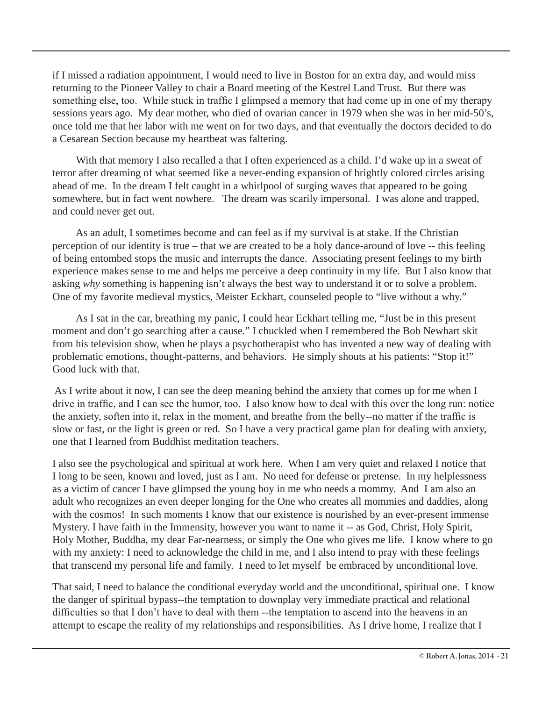if I missed a radiation appointment, I would need to live in Boston for an extra day, and would miss returning to the Pioneer Valley to chair a Board meeting of the Kestrel Land Trust. But there was something else, too. While stuck in traffic I glimpsed a memory that had come up in one of my therapy sessions years ago. My dear mother, who died of ovarian cancer in 1979 when she was in her mid-50's, once told me that her labor with me went on for two days, and that eventually the doctors decided to do a Cesarean Section because my heartbeat was faltering.

With that memory I also recalled a that I often experienced as a child. I'd wake up in a sweat of terror after dreaming of what seemed like a never-ending expansion of brightly colored circles arising ahead of me. In the dream I felt caught in a whirlpool of surging waves that appeared to be going somewhere, but in fact went nowhere. The dream was scarily impersonal. I was alone and trapped, and could never get out.

 As an adult, I sometimes become and can feel as if my survival is at stake. If the Christian perception of our identity is true – that we are created to be a holy dance-around of love -- this feeling of being entombed stops the music and interrupts the dance. Associating present feelings to my birth experience makes sense to me and helps me perceive a deep continuity in my life. But I also know that asking *why* something is happening isn't always the best way to understand it or to solve a problem. One of my favorite medieval mystics, Meister Eckhart, counseled people to "live without a why."

 As I sat in the car, breathing my panic, I could hear Eckhart telling me, "Just be in this present moment and don't go searching after a cause." I chuckled when I remembered the Bob Newhart skit from his television show, when he plays a psychotherapist who has invented a new way of dealing with problematic emotions, thought-patterns, and behaviors. He simply shouts at his patients: "Stop it!" Good luck with that.

As I write about it now, I can see the deep meaning behind the anxiety that comes up for me when I drive in traffic, and I can see the humor, too. I also know how to deal with this over the long run: notice the anxiety, soften into it, relax in the moment, and breathe from the belly--no matter if the traffic is slow or fast, or the light is green or red. So I have a very practical game plan for dealing with anxiety, one that I learned from Buddhist meditation teachers.

I also see the psychological and spiritual at work here. When I am very quiet and relaxed I notice that I long to be seen, known and loved, just as I am. No need for defense or pretense. In my helplessness as a victim of cancer I have glimpsed the young boy in me who needs a mommy. And I am also an adult who recognizes an even deeper longing for the One who creates all mommies and daddies, along with the cosmos! In such moments I know that our existence is nourished by an ever-present immense Mystery. I have faith in the Immensity, however you want to name it -- as God, Christ, Holy Spirit, Holy Mother, Buddha, my dear Far-nearness, or simply the One who gives me life. I know where to go with my anxiety: I need to acknowledge the child in me, and I also intend to pray with these feelings that transcend my personal life and family. I need to let myself be embraced by unconditional love.

That said, I need to balance the conditional everyday world and the unconditional, spiritual one. I know the danger of spiritual bypass--the temptation to downplay very immediate practical and relational difficulties so that I don't have to deal with them --the temptation to ascend into the heavens in an attempt to escape the reality of my relationships and responsibilities. As I drive home, I realize that I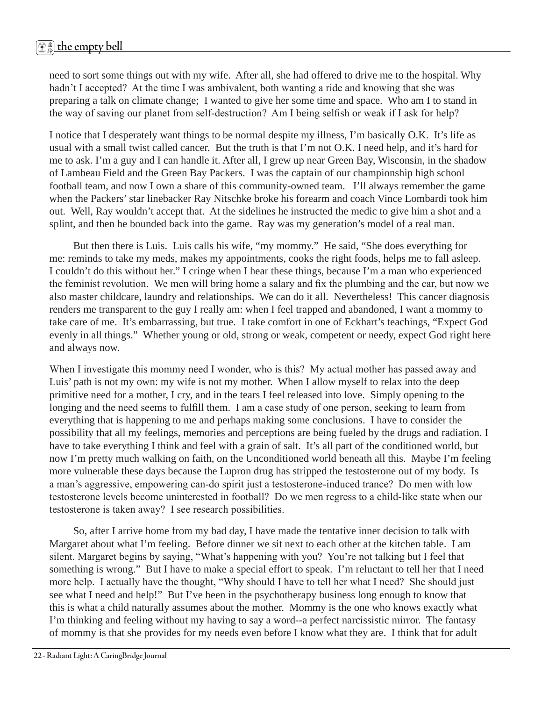need to sort some things out with my wife. After all, she had offered to drive me to the hospital. Why hadn't I accepted? At the time I was ambivalent, both wanting a ride and knowing that she was preparing a talk on climate change; I wanted to give her some time and space. Who am I to stand in the way of saving our planet from self-destruction? Am I being selfish or weak if I ask for help?

I notice that I desperately want things to be normal despite my illness, I'm basically O.K. It's life as usual with a small twist called cancer. But the truth is that I'm not O.K. I need help, and it's hard for me to ask. I'm a guy and I can handle it. After all, I grew up near Green Bay, Wisconsin, in the shadow of Lambeau Field and the Green Bay Packers. I was the captain of our championship high school football team, and now I own a share of this community-owned team. I'll always remember the game when the Packers' star linebacker Ray Nitschke broke his forearm and coach Vince Lombardi took him out. Well, Ray wouldn't accept that. At the sidelines he instructed the medic to give him a shot and a splint, and then he bounded back into the game. Ray was my generation's model of a real man.

 But then there is Luis. Luis calls his wife, "my mommy." He said, "She does everything for me: reminds to take my meds, makes my appointments, cooks the right foods, helps me to fall asleep. I couldn't do this without her." I cringe when I hear these things, because I'm a man who experienced the feminist revolution. We men will bring home a salary and fix the plumbing and the car, but now we also master childcare, laundry and relationships. We can do it all. Nevertheless! This cancer diagnosis renders me transparent to the guy I really am: when I feel trapped and abandoned, I want a mommy to take care of me. It's embarrassing, but true. I take comfort in one of Eckhart's teachings, "Expect God evenly in all things." Whether young or old, strong or weak, competent or needy, expect God right here and always now.

When I investigate this mommy need I wonder, who is this? My actual mother has passed away and Luis' path is not my own: my wife is not my mother. When I allow myself to relax into the deep primitive need for a mother, I cry, and in the tears I feel released into love. Simply opening to the longing and the need seems to fulfill them. I am a case study of one person, seeking to learn from everything that is happening to me and perhaps making some conclusions. I have to consider the possibility that all my feelings, memories and perceptions are being fueled by the drugs and radiation. I have to take everything I think and feel with a grain of salt. It's all part of the conditioned world, but now I'm pretty much walking on faith, on the Unconditioned world beneath all this. Maybe I'm feeling more vulnerable these days because the Lupron drug has stripped the testosterone out of my body. Is a man's aggressive, empowering can-do spirit just a testosterone-induced trance? Do men with low testosterone levels become uninterested in football? Do we men regress to a child-like state when our testosterone is taken away? I see research possibilities.

 So, after I arrive home from my bad day, I have made the tentative inner decision to talk with Margaret about what I'm feeling. Before dinner we sit next to each other at the kitchen table. I am silent. Margaret begins by saying, "What's happening with you? You're not talking but I feel that something is wrong." But I have to make a special effort to speak. I'm reluctant to tell her that I need more help. I actually have the thought, "Why should I have to tell her what I need? She should just see what I need and help!" But I've been in the psychotherapy business long enough to know that this is what a child naturally assumes about the mother. Mommy is the one who knows exactly what I'm thinking and feeling without my having to say a word--a perfect narcissistic mirror. The fantasy of mommy is that she provides for my needs even before I know what they are. I think that for adult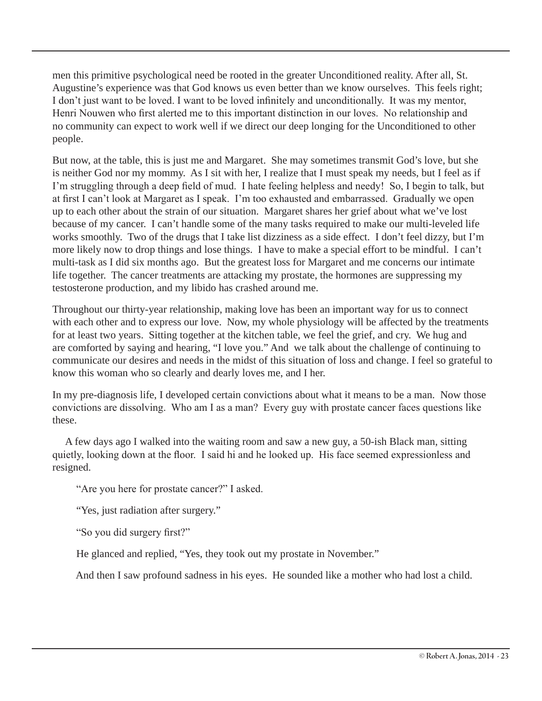men this primitive psychological need be rooted in the greater Unconditioned reality. After all, St. Augustine's experience was that God knows us even better than we know ourselves. This feels right; I don't just want to be loved. I want to be loved infinitely and unconditionally. It was my mentor, Henri Nouwen who first alerted me to this important distinction in our loves. No relationship and no community can expect to work well if we direct our deep longing for the Unconditioned to other people.

But now, at the table, this is just me and Margaret. She may sometimes transmit God's love, but she is neither God nor my mommy. As I sit with her, I realize that I must speak my needs, but I feel as if I'm struggling through a deep field of mud. I hate feeling helpless and needy! So, I begin to talk, but at first I can't look at Margaret as I speak. I'm too exhausted and embarrassed. Gradually we open up to each other about the strain of our situation. Margaret shares her grief about what we've lost because of my cancer. I can't handle some of the many tasks required to make our multi-leveled life works smoothly. Two of the drugs that I take list dizziness as a side effect. I don't feel dizzy, but I'm more likely now to drop things and lose things. I have to make a special effort to be mindful. I can't multi-task as I did six months ago. But the greatest loss for Margaret and me concerns our intimate life together. The cancer treatments are attacking my prostate, the hormones are suppressing my testosterone production, and my libido has crashed around me.

Throughout our thirty-year relationship, making love has been an important way for us to connect with each other and to express our love. Now, my whole physiology will be affected by the treatments for at least two years. Sitting together at the kitchen table, we feel the grief, and cry. We hug and are comforted by saying and hearing, "I love you." And we talk about the challenge of continuing to communicate our desires and needs in the midst of this situation of loss and change. I feel so grateful to know this woman who so clearly and dearly loves me, and I her.

In my pre-diagnosis life, I developed certain convictions about what it means to be a man. Now those convictions are dissolving. Who am I as a man? Every guy with prostate cancer faces questions like these.

 A few days ago I walked into the waiting room and saw a new guy, a 50-ish Black man, sitting quietly, looking down at the floor. I said hi and he looked up. His face seemed expressionless and resigned.

"Are you here for prostate cancer?" I asked.

"Yes, just radiation after surgery."

"So you did surgery first?"

He glanced and replied, "Yes, they took out my prostate in November."

And then I saw profound sadness in his eyes. He sounded like a mother who had lost a child.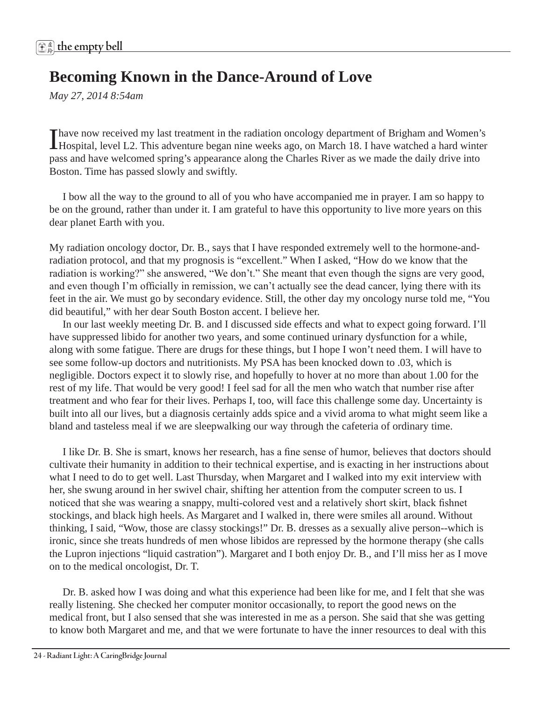# **Becoming Known in the Dance-Around of Love**

*May 27, 2014 8:54am* 

I have now received my last treatment in the radiation oncology department of Brigham and Women's Hospital, level L2. This adventure began nine weeks ago, on March 18. I have watched a hard winter pass and have welcomed spring's appearance along the Charles River as we made the daily drive into Boston. Time has passed slowly and swiftly.

 I bow all the way to the ground to all of you who have accompanied me in prayer. I am so happy to be on the ground, rather than under it. I am grateful to have this opportunity to live more years on this dear planet Earth with you.

My radiation oncology doctor, Dr. B., says that I have responded extremely well to the hormone-andradiation protocol, and that my prognosis is "excellent." When I asked, "How do we know that the radiation is working?" she answered, "We don't." She meant that even though the signs are very good, and even though I'm officially in remission, we can't actually see the dead cancer, lying there with its feet in the air. We must go by secondary evidence. Still, the other day my oncology nurse told me, "You did beautiful," with her dear South Boston accent. I believe her.

 In our last weekly meeting Dr. B. and I discussed side effects and what to expect going forward. I'll have suppressed libido for another two years, and some continued urinary dysfunction for a while, along with some fatigue. There are drugs for these things, but I hope I won't need them. I will have to see some follow-up doctors and nutritionists. My PSA has been knocked down to .03, which is negligible. Doctors expect it to slowly rise, and hopefully to hover at no more than about 1.00 for the rest of my life. That would be very good! I feel sad for all the men who watch that number rise after treatment and who fear for their lives. Perhaps I, too, will face this challenge some day. Uncertainty is built into all our lives, but a diagnosis certainly adds spice and a vivid aroma to what might seem like a bland and tasteless meal if we are sleepwalking our way through the cafeteria of ordinary time.

 I like Dr. B. She is smart, knows her research, has a fine sense of humor, believes that doctors should cultivate their humanity in addition to their technical expertise, and is exacting in her instructions about what I need to do to get well. Last Thursday, when Margaret and I walked into my exit interview with her, she swung around in her swivel chair, shifting her attention from the computer screen to us. I noticed that she was wearing a snappy, multi-colored vest and a relatively short skirt, black fishnet stockings, and black high heels. As Margaret and I walked in, there were smiles all around. Without thinking, I said, "Wow, those are classy stockings!" Dr. B. dresses as a sexually alive person--which is ironic, since she treats hundreds of men whose libidos are repressed by the hormone therapy (she calls the Lupron injections "liquid castration"). Margaret and I both enjoy Dr. B., and I'll miss her as I move on to the medical oncologist, Dr. T.

 Dr. B. asked how I was doing and what this experience had been like for me, and I felt that she was really listening. She checked her computer monitor occasionally, to report the good news on the medical front, but I also sensed that she was interested in me as a person. She said that she was getting to know both Margaret and me, and that we were fortunate to have the inner resources to deal with this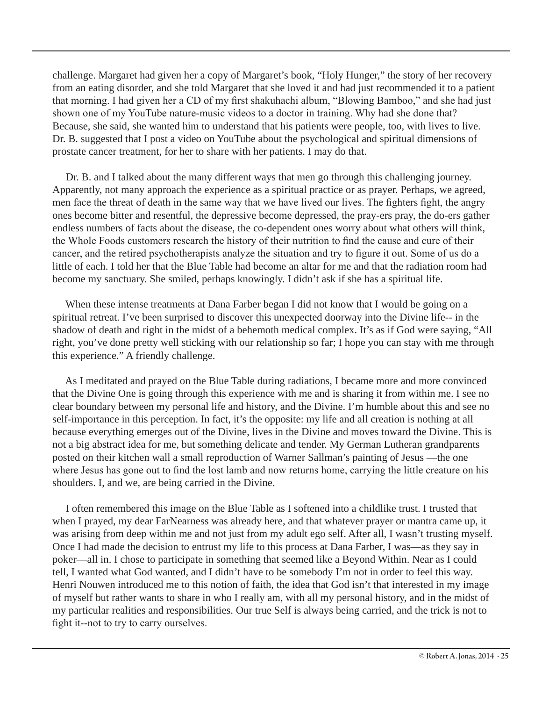challenge. Margaret had given her a copy of Margaret's book, "Holy Hunger," the story of her recovery from an eating disorder, and she told Margaret that she loved it and had just recommended it to a patient that morning. I had given her a CD of my first shakuhachi album, "Blowing Bamboo," and she had just shown one of my YouTube nature-music videos to a doctor in training. Why had she done that? Because, she said, she wanted him to understand that his patients were people, too, with lives to live. Dr. B. suggested that I post a video on YouTube about the psychological and spiritual dimensions of prostate cancer treatment, for her to share with her patients. I may do that.

 Dr. B. and I talked about the many different ways that men go through this challenging journey. Apparently, not many approach the experience as a spiritual practice or as prayer. Perhaps, we agreed, men face the threat of death in the same way that we have lived our lives. The fighters fight, the angry ones become bitter and resentful, the depressive become depressed, the pray-ers pray, the do-ers gather endless numbers of facts about the disease, the co-dependent ones worry about what others will think, the Whole Foods customers research the history of their nutrition to find the cause and cure of their cancer, and the retired psychotherapists analyze the situation and try to figure it out. Some of us do a little of each. I told her that the Blue Table had become an altar for me and that the radiation room had become my sanctuary. She smiled, perhaps knowingly. I didn't ask if she has a spiritual life.

 When these intense treatments at Dana Farber began I did not know that I would be going on a spiritual retreat. I've been surprised to discover this unexpected doorway into the Divine life-- in the shadow of death and right in the midst of a behemoth medical complex. It's as if God were saying, "All right, you've done pretty well sticking with our relationship so far; I hope you can stay with me through this experience." A friendly challenge.

 As I meditated and prayed on the Blue Table during radiations, I became more and more convinced that the Divine One is going through this experience with me and is sharing it from within me. I see no clear boundary between my personal life and history, and the Divine. I'm humble about this and see no self-importance in this perception. In fact, it's the opposite: my life and all creation is nothing at all because everything emerges out of the Divine, lives in the Divine and moves toward the Divine. This is not a big abstract idea for me, but something delicate and tender. My German Lutheran grandparents posted on their kitchen wall a small reproduction of Warner Sallman's painting of Jesus —the one where Jesus has gone out to find the lost lamb and now returns home, carrying the little creature on his shoulders. I, and we, are being carried in the Divine.

 I often remembered this image on the Blue Table as I softened into a childlike trust. I trusted that when I prayed, my dear FarNearness was already here, and that whatever prayer or mantra came up, it was arising from deep within me and not just from my adult ego self. After all, I wasn't trusting myself. Once I had made the decision to entrust my life to this process at Dana Farber, I was—as they say in poker—all in. I chose to participate in something that seemed like a Beyond Within. Near as I could tell, I wanted what God wanted, and I didn't have to be somebody I'm not in order to feel this way. Henri Nouwen introduced me to this notion of faith, the idea that God isn't that interested in my image of myself but rather wants to share in who I really am, with all my personal history, and in the midst of my particular realities and responsibilities. Our true Self is always being carried, and the trick is not to fight it--not to try to carry ourselves.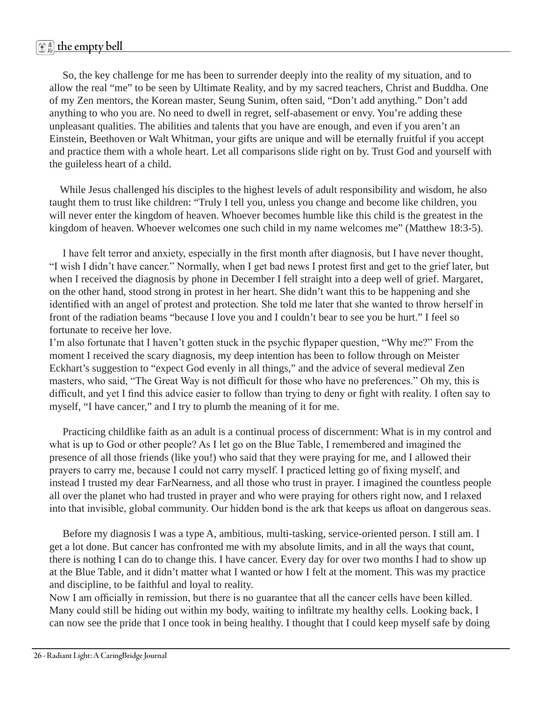So, the key challenge for me has been to surrender deeply into the reality of my situation, and to allow the real "me" to be seen by Ultimate Reality, and by my sacred teachers, Christ and Buddha. One of my Zen mentors, the Korean master, Seung Sunim, often said, "Don't add anything." Don't add anything to who you are. No need to dwell in regret, self-abasement or envy. You're adding these unpleasant qualities. The abilities and talents that you have are enough, and even if you aren't an Einstein, Beethoven or Walt Whitman, your gifts are unique and will be eternally fruitful if you accept and practice them with a whole heart. Let all comparisons slide right on by. Trust God and yourself with the guileless heart of a child.

 While Jesus challenged his disciples to the highest levels of adult responsibility and wisdom, he also taught them to trust like children: "Truly I tell you, unless you change and become like children, you will never enter the kingdom of heaven. Whoever becomes humble like this child is the greatest in the kingdom of heaven. Whoever welcomes one such child in my name welcomes me" (Matthew 18:3-5).

 I have felt terror and anxiety, especially in the first month after diagnosis, but I have never thought, "I wish I didn't have cancer." Normally, when I get bad news I protest first and get to the grief later, but when I received the diagnosis by phone in December I fell straight into a deep well of grief. Margaret, on the other hand, stood strong in protest in her heart. She didn't want this to be happening and she identified with an angel of protest and protection. She told me later that she wanted to throw herself in front of the radiation beams "because I love you and I couldn't bear to see you be hurt." I feel so fortunate to receive her love.

I'm also fortunate that I haven't gotten stuck in the psychic flypaper question, "Why me?" From the moment I received the scary diagnosis, my deep intention has been to follow through on Meister Eckhart's suggestion to "expect God evenly in all things," and the advice of several medieval Zen masters, who said, "The Great Way is not difficult for those who have no preferences." Oh my, this is difficult, and yet I find this advice easier to follow than trying to deny or fight with reality. I often say to myself, "I have cancer," and I try to plumb the meaning of it for me.

 Practicing childlike faith as an adult is a continual process of discernment: What is in my control and what is up to God or other people? As I let go on the Blue Table, I remembered and imagined the presence of all those friends (like you!) who said that they were praying for me, and I allowed their prayers to carry me, because I could not carry myself. I practiced letting go of fixing myself, and instead I trusted my dear FarNearness, and all those who trust in prayer. I imagined the countless people all over the planet who had trusted in prayer and who were praying for others right now, and I relaxed into that invisible, global community. Our hidden bond is the ark that keeps us afloat on dangerous seas.

 Before my diagnosis I was a type A, ambitious, multi-tasking, service-oriented person. I still am. I get a lot done. But cancer has confronted me with my absolute limits, and in all the ways that count, there is nothing I can do to change this. I have cancer. Every day for over two months I had to show up at the Blue Table, and it didn't matter what I wanted or how I felt at the moment. This was my practice and discipline, to be faithful and loyal to reality.

Now I am officially in remission, but there is no guarantee that all the cancer cells have been killed. Many could still be hiding out within my body, waiting to infiltrate my healthy cells. Looking back, I can now see the pride that I once took in being healthy. I thought that I could keep myself safe by doing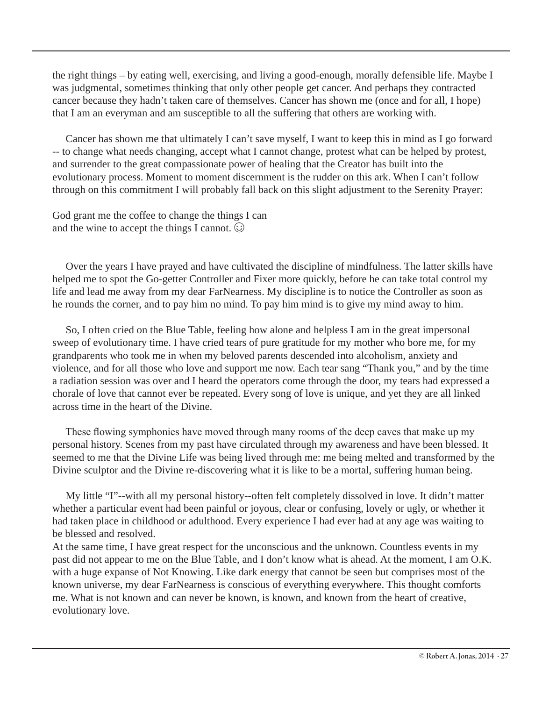the right things – by eating well, exercising, and living a good-enough, morally defensible life. Maybe I was judgmental, sometimes thinking that only other people get cancer. And perhaps they contracted cancer because they hadn't taken care of themselves. Cancer has shown me (once and for all, I hope) that I am an everyman and am susceptible to all the suffering that others are working with.

 Cancer has shown me that ultimately I can't save myself, I want to keep this in mind as I go forward -- to change what needs changing, accept what I cannot change, protest what can be helped by protest, and surrender to the great compassionate power of healing that the Creator has built into the evolutionary process. Moment to moment discernment is the rudder on this ark. When I can't follow through on this commitment I will probably fall back on this slight adjustment to the Serenity Prayer:

God grant me the coffee to change the things I can and the wine to accept the things I cannot.  $\odot$ 

 Over the years I have prayed and have cultivated the discipline of mindfulness. The latter skills have helped me to spot the Go-getter Controller and Fixer more quickly, before he can take total control my life and lead me away from my dear FarNearness. My discipline is to notice the Controller as soon as he rounds the corner, and to pay him no mind. To pay him mind is to give my mind away to him.

 So, I often cried on the Blue Table, feeling how alone and helpless I am in the great impersonal sweep of evolutionary time. I have cried tears of pure gratitude for my mother who bore me, for my grandparents who took me in when my beloved parents descended into alcoholism, anxiety and violence, and for all those who love and support me now. Each tear sang "Thank you," and by the time a radiation session was over and I heard the operators come through the door, my tears had expressed a chorale of love that cannot ever be repeated. Every song of love is unique, and yet they are all linked across time in the heart of the Divine.

 These flowing symphonies have moved through many rooms of the deep caves that make up my personal history. Scenes from my past have circulated through my awareness and have been blessed. It seemed to me that the Divine Life was being lived through me: me being melted and transformed by the Divine sculptor and the Divine re-discovering what it is like to be a mortal, suffering human being.

 My little "I"--with all my personal history--often felt completely dissolved in love. It didn't matter whether a particular event had been painful or joyous, clear or confusing, lovely or ugly, or whether it had taken place in childhood or adulthood. Every experience I had ever had at any age was waiting to be blessed and resolved.

At the same time, I have great respect for the unconscious and the unknown. Countless events in my past did not appear to me on the Blue Table, and I don't know what is ahead. At the moment, I am O.K. with a huge expanse of Not Knowing. Like dark energy that cannot be seen but comprises most of the known universe, my dear FarNearness is conscious of everything everywhere. This thought comforts me. What is not known and can never be known, is known, and known from the heart of creative, evolutionary love.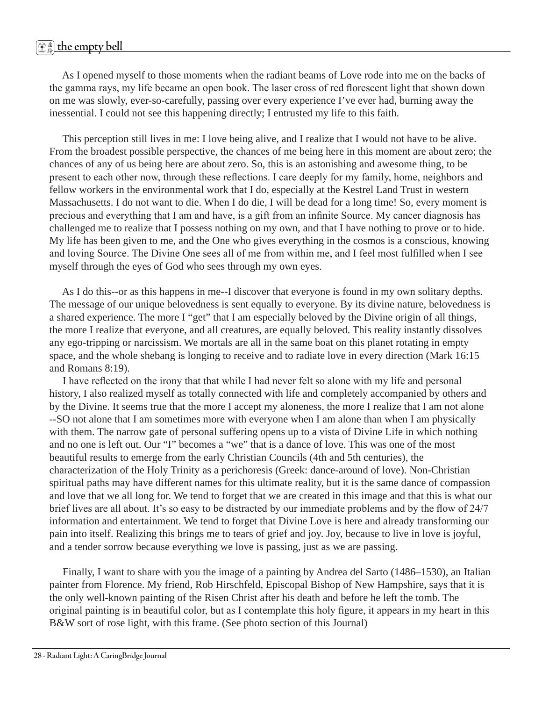# 虚 <sup>鈴</sup> **the empty bell**

 As I opened myself to those moments when the radiant beams of Love rode into me on the backs of the gamma rays, my life became an open book. The laser cross of red florescent light that shown down on me was slowly, ever-so-carefully, passing over every experience I've ever had, burning away the inessential. I could not see this happening directly; I entrusted my life to this faith.

 This perception still lives in me: I love being alive, and I realize that I would not have to be alive. From the broadest possible perspective, the chances of me being here in this moment are about zero; the chances of any of us being here are about zero. So, this is an astonishing and awesome thing, to be present to each other now, through these reflections. I care deeply for my family, home, neighbors and fellow workers in the environmental work that I do, especially at the Kestrel Land Trust in western Massachusetts. I do not want to die. When I do die, I will be dead for a long time! So, every moment is precious and everything that I am and have, is a gift from an infinite Source. My cancer diagnosis has challenged me to realize that I possess nothing on my own, and that I have nothing to prove or to hide. My life has been given to me, and the One who gives everything in the cosmos is a conscious, knowing and loving Source. The Divine One sees all of me from within me, and I feel most fulfilled when I see myself through the eyes of God who sees through my own eyes.

 As I do this--or as this happens in me--I discover that everyone is found in my own solitary depths. The message of our unique belovedness is sent equally to everyone. By its divine nature, belovedness is a shared experience. The more I "get" that I am especially beloved by the Divine origin of all things, the more I realize that everyone, and all creatures, are equally beloved. This reality instantly dissolves any ego-tripping or narcissism. We mortals are all in the same boat on this planet rotating in empty space, and the whole shebang is longing to receive and to radiate love in every direction (Mark 16:15 and Romans 8:19).

 I have reflected on the irony that that while I had never felt so alone with my life and personal history, I also realized myself as totally connected with life and completely accompanied by others and by the Divine. It seems true that the more I accept my aloneness, the more I realize that I am not alone --SO not alone that I am sometimes more with everyone when I am alone than when I am physically with them. The narrow gate of personal suffering opens up to a vista of Divine Life in which nothing and no one is left out. Our "I" becomes a "we" that is a dance of love. This was one of the most beautiful results to emerge from the early Christian Councils (4th and 5th centuries), the characterization of the Holy Trinity as a perichoresis (Greek: dance-around of love). Non-Christian spiritual paths may have different names for this ultimate reality, but it is the same dance of compassion and love that we all long for. We tend to forget that we are created in this image and that this is what our brief lives are all about. It's so easy to be distracted by our immediate problems and by the flow of 24/7 information and entertainment. We tend to forget that Divine Love is here and already transforming our pain into itself. Realizing this brings me to tears of grief and joy. Joy, because to live in love is joyful, and a tender sorrow because everything we love is passing, just as we are passing.

 Finally, I want to share with you the image of a painting by Andrea del Sarto (1486–1530), an Italian painter from Florence. My friend, Rob Hirschfeld, Episcopal Bishop of New Hampshire, says that it is the only well-known painting of the Risen Christ after his death and before he left the tomb. The original painting is in beautiful color, but as I contemplate this holy figure, it appears in my heart in this B&W sort of rose light, with this frame. (See photo section of this Journal)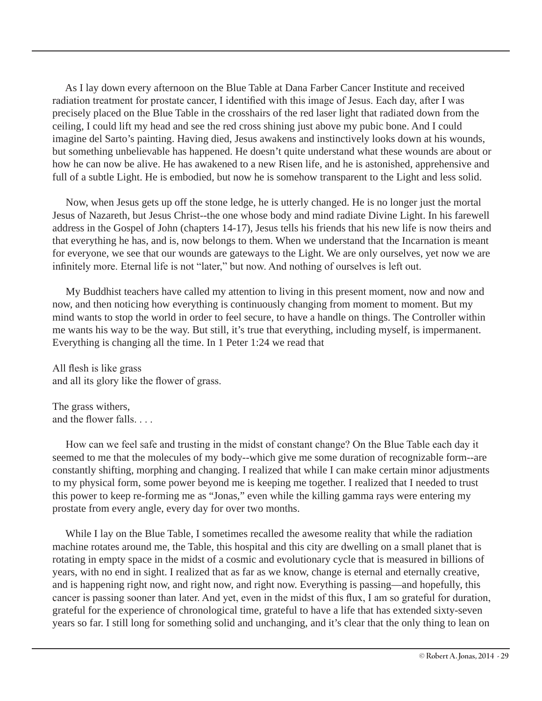As I lay down every afternoon on the Blue Table at Dana Farber Cancer Institute and received radiation treatment for prostate cancer, I identified with this image of Jesus. Each day, after I was precisely placed on the Blue Table in the crosshairs of the red laser light that radiated down from the ceiling, I could lift my head and see the red cross shining just above my pubic bone. And I could imagine del Sarto's painting. Having died, Jesus awakens and instinctively looks down at his wounds, but something unbelievable has happened. He doesn't quite understand what these wounds are about or how he can now be alive. He has awakened to a new Risen life, and he is astonished, apprehensive and full of a subtle Light. He is embodied, but now he is somehow transparent to the Light and less solid.

 Now, when Jesus gets up off the stone ledge, he is utterly changed. He is no longer just the mortal Jesus of Nazareth, but Jesus Christ--the one whose body and mind radiate Divine Light. In his farewell address in the Gospel of John (chapters 14-17), Jesus tells his friends that his new life is now theirs and that everything he has, and is, now belongs to them. When we understand that the Incarnation is meant for everyone, we see that our wounds are gateways to the Light. We are only ourselves, yet now we are infinitely more. Eternal life is not "later," but now. And nothing of ourselves is left out.

 My Buddhist teachers have called my attention to living in this present moment, now and now and now, and then noticing how everything is continuously changing from moment to moment. But my mind wants to stop the world in order to feel secure, to have a handle on things. The Controller within me wants his way to be the way. But still, it's true that everything, including myself, is impermanent. Everything is changing all the time. In 1 Peter 1:24 we read that

All flesh is like grass and all its glory like the flower of grass.

The grass withers, and the flower falls. . . .

 How can we feel safe and trusting in the midst of constant change? On the Blue Table each day it seemed to me that the molecules of my body--which give me some duration of recognizable form--are constantly shifting, morphing and changing. I realized that while I can make certain minor adjustments to my physical form, some power beyond me is keeping me together. I realized that I needed to trust this power to keep re-forming me as "Jonas," even while the killing gamma rays were entering my prostate from every angle, every day for over two months.

 While I lay on the Blue Table, I sometimes recalled the awesome reality that while the radiation machine rotates around me, the Table, this hospital and this city are dwelling on a small planet that is rotating in empty space in the midst of a cosmic and evolutionary cycle that is measured in billions of years, with no end in sight. I realized that as far as we know, change is eternal and eternally creative, and is happening right now, and right now, and right now. Everything is passing—and hopefully, this cancer is passing sooner than later. And yet, even in the midst of this flux, I am so grateful for duration, grateful for the experience of chronological time, grateful to have a life that has extended sixty-seven years so far. I still long for something solid and unchanging, and it's clear that the only thing to lean on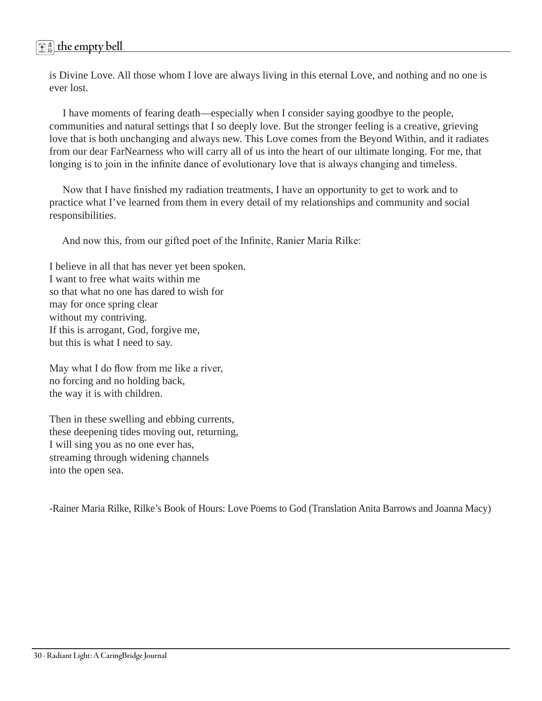is Divine Love. All those whom I love are always living in this eternal Love, and nothing and no one is ever lost.

 I have moments of fearing death—especially when I consider saying goodbye to the people, communities and natural settings that I so deeply love. But the stronger feeling is a creative, grieving love that is both unchanging and always new. This Love comes from the Beyond Within, and it radiates from our dear FarNearness who will carry all of us into the heart of our ultimate longing. For me, that longing is to join in the infinite dance of evolutionary love that is always changing and timeless.

 Now that I have finished my radiation treatments, I have an opportunity to get to work and to practice what I've learned from them in every detail of my relationships and community and social responsibilities.

And now this, from our gifted poet of the Infinite, Ranier Maria Rilke:

I believe in all that has never yet been spoken. I want to free what waits within me so that what no one has dared to wish for may for once spring clear without my contriving. If this is arrogant, God, forgive me, but this is what I need to say.

May what I do flow from me like a river, no forcing and no holding back, the way it is with children.

Then in these swelling and ebbing currents, these deepening tides moving out, returning, I will sing you as no one ever has, streaming through widening channels into the open sea.

-Rainer Maria Rilke, Rilke's Book of Hours: Love Poems to God (Translation Anita Barrows and Joanna Macy)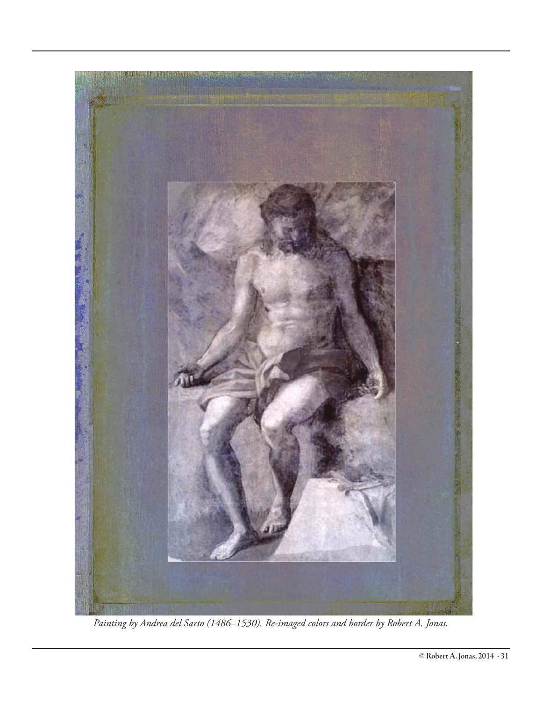

*Painting by Andrea del Sarto (1486–1530). Re-imaged colors and border by Robert A. Jonas.*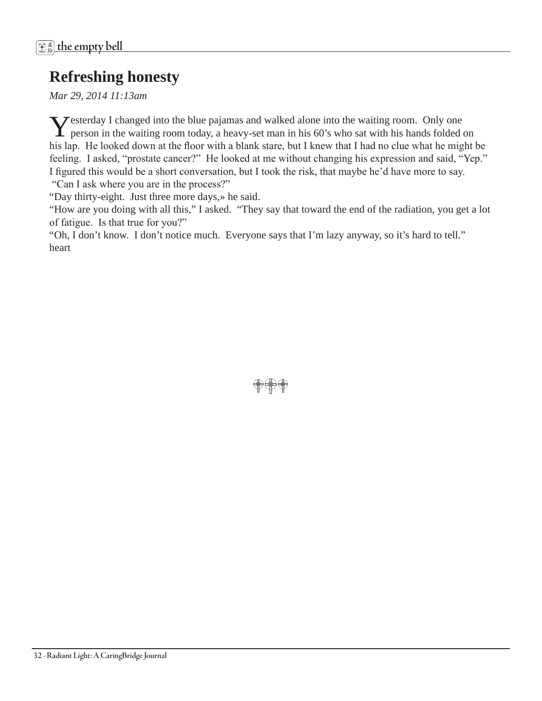# **Refreshing honesty**

*Mar 29, 2014 11:13am* 

Yesterday I changed into the blue pajamas and walked alone into the waiting room. Only one person in the waiting room today, a heavy-set man in his 60's who sat with his hands folded on his lap. He looked down at the floor with a blank stare, but I knew that I had no clue what he might be feeling. I asked, "prostate cancer?" He looked at me without changing his expression and said, "Yep." I figured this would be a short conversation, but I took the risk, that maybe he'd have more to say. "Can I ask where you are in the process?"

"Day thirty-eight. Just three more days,» he said.

"How are you doing with all this," I asked. "They say that toward the end of the radiation, you get a lot of fatigue. Is that true for you?"

"Oh, I don't know. I don't notice much. Everyone says that I'm lazy anyway, so it's hard to tell." heart

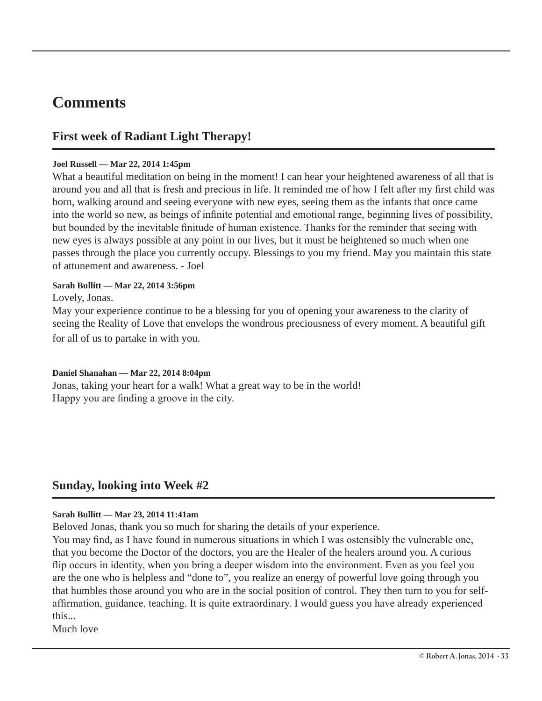# **Comments**

### **First week of Radiant Light Therapy!**

#### **Joel Russell — Mar 22, 2014 1:45pm**

What a beautiful meditation on being in the moment! I can hear your heightened awareness of all that is around you and all that is fresh and precious in life. It reminded me of how I felt after my first child was born, walking around and seeing everyone with new eyes, seeing them as the infants that once came into the world so new, as beings of infinite potential and emotional range, beginning lives of possibility, but bounded by the inevitable finitude of human existence. Thanks for the reminder that seeing with new eyes is always possible at any point in our lives, but it must be heightened so much when one passes through the place you currently occupy. Blessings to you my friend. May you maintain this state of attunement and awareness. - Joel

#### **Sarah Bullitt — Mar 22, 2014 3:56pm**

Lovely, Jonas.

May your experience continue to be a blessing for you of opening your awareness to the clarity of seeing the Reality of Love that envelops the wondrous preciousness of every moment. A beautiful gift for all of us to partake in with you.

#### **Daniel Shanahan — Mar 22, 2014 8:04pm**

Jonas, taking your heart for a walk! What a great way to be in the world! Happy you are finding a groove in the city.

### **Sunday, looking into Week #2**

#### **Sarah Bullitt — Mar 23, 2014 11:41am**

Beloved Jonas, thank you so much for sharing the details of your experience.

You may find, as I have found in numerous situations in which I was ostensibly the vulnerable one, that you become the Doctor of the doctors, you are the Healer of the healers around you. A curious flip occurs in identity, when you bring a deeper wisdom into the environment. Even as you feel you are the one who is helpless and "done to", you realize an energy of powerful love going through you that humbles those around you who are in the social position of control. They then turn to you for selfaffirmation, guidance, teaching. It is quite extraordinary. I would guess you have already experienced this...

Much love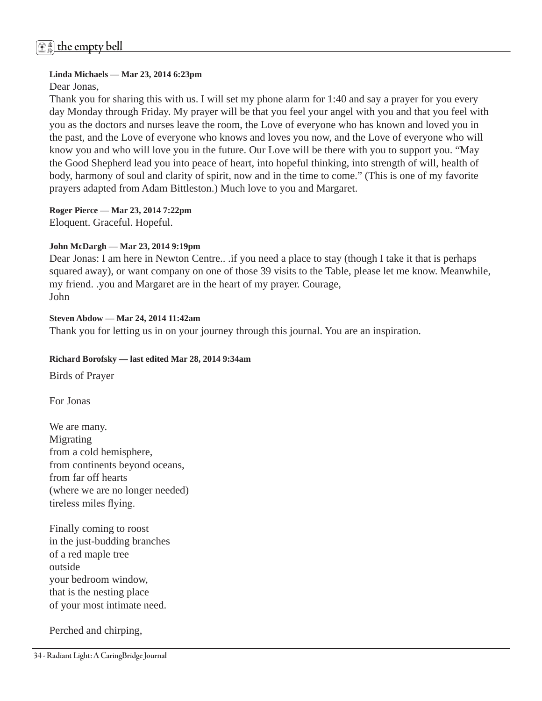# 虚 <sup>鈴</sup> **the empty bell**

#### **Linda Michaels — Mar 23, 2014 6:23pm**

Dear Jonas,

Thank you for sharing this with us. I will set my phone alarm for 1:40 and say a prayer for you every day Monday through Friday. My prayer will be that you feel your angel with you and that you feel with you as the doctors and nurses leave the room, the Love of everyone who has known and loved you in the past, and the Love of everyone who knows and loves you now, and the Love of everyone who will know you and who will love you in the future. Our Love will be there with you to support you. "May the Good Shepherd lead you into peace of heart, into hopeful thinking, into strength of will, health of body, harmony of soul and clarity of spirit, now and in the time to come." (This is one of my favorite prayers adapted from Adam Bittleston.) Much love to you and Margaret.

**Roger Pierce — Mar 23, 2014 7:22pm** 

Eloquent. Graceful. Hopeful.

#### **John McDargh — Mar 23, 2014 9:19pm**

Dear Jonas: I am here in Newton Centre.. .if you need a place to stay (though I take it that is perhaps squared away), or want company on one of those 39 visits to the Table, please let me know. Meanwhile, my friend. .you and Margaret are in the heart of my prayer. Courage, John

#### **Steven Abdow — Mar 24, 2014 11:42am**

Thank you for letting us in on your journey through this journal. You are an inspiration.

#### **Richard Borofsky — last edited Mar 28, 2014 9:34am**

Birds of Prayer

For Jonas

We are many. Migrating from a cold hemisphere, from continents beyond oceans, from far off hearts (where we are no longer needed) tireless miles flying.

Finally coming to roost in the just-budding branches of a red maple tree outside your bedroom window, that is the nesting place of your most intimate need.

Perched and chirping,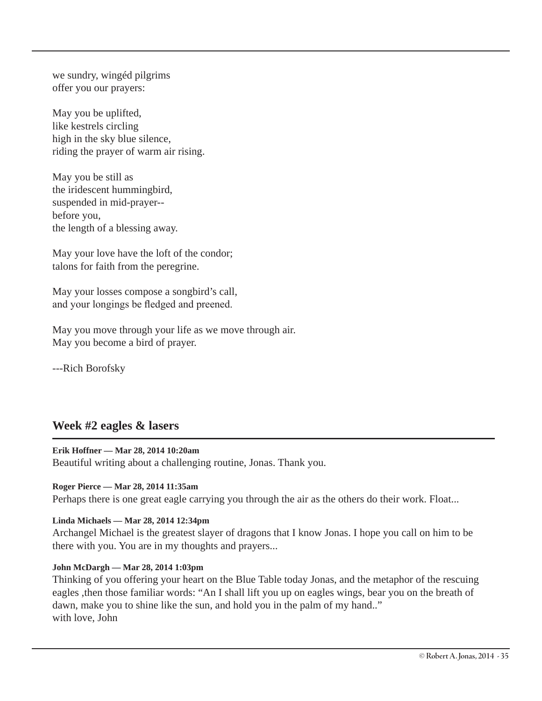we sundry, wingéd pilgrims offer you our prayers:

May you be uplifted, like kestrels circling high in the sky blue silence, riding the prayer of warm air rising.

May you be still as the iridescent hummingbird, suspended in mid-prayer- before you, the length of a blessing away.

May your love have the loft of the condor; talons for faith from the peregrine.

May your losses compose a songbird's call, and your longings be fledged and preened.

May you move through your life as we move through air. May you become a bird of prayer.

---Rich Borofsky

### **Week #2 eagles & lasers**

#### **Erik Hoffner — Mar 28, 2014 10:20am**

Beautiful writing about a challenging routine, Jonas. Thank you.

#### **Roger Pierce — Mar 28, 2014 11:35am**

Perhaps there is one great eagle carrying you through the air as the others do their work. Float...

#### **Linda Michaels — Mar 28, 2014 12:34pm**

Archangel Michael is the greatest slayer of dragons that I know Jonas. I hope you call on him to be there with you. You are in my thoughts and prayers...

#### **John McDargh — Mar 28, 2014 1:03pm**

Thinking of you offering your heart on the Blue Table today Jonas, and the metaphor of the rescuing eagles ,then those familiar words: "An I shall lift you up on eagles wings, bear you on the breath of dawn, make you to shine like the sun, and hold you in the palm of my hand.." with love, John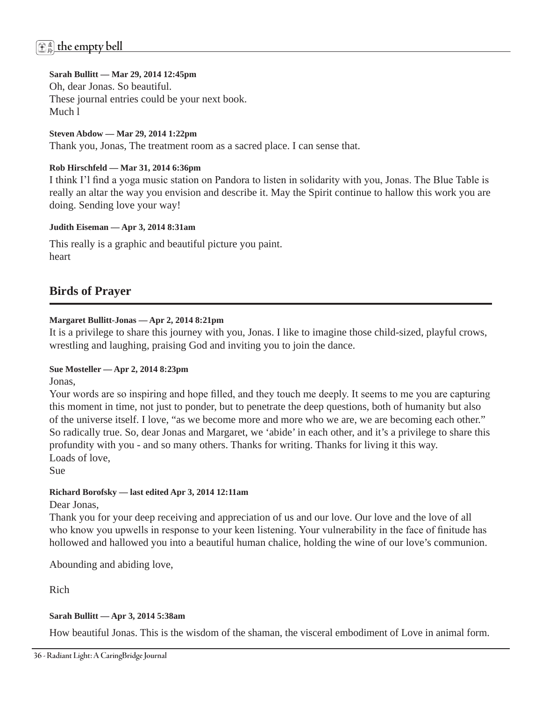# 虚 <sup>鈴</sup> **the empty bell**

#### **Sarah Bullitt — Mar 29, 2014 12:45pm**

Oh, dear Jonas. So beautiful. These journal entries could be your next book. Much l

**Steven Abdow — Mar 29, 2014 1:22pm**  Thank you, Jonas, The treatment room as a sacred place. I can sense that.

#### **Rob Hirschfeld — Mar 31, 2014 6:36pm**

I think I'l find a yoga music station on Pandora to listen in solidarity with you, Jonas. The Blue Table is really an altar the way you envision and describe it. May the Spirit continue to hallow this work you are doing. Sending love your way!

#### **Judith Eiseman — Apr 3, 2014 8:31am**

This really is a graphic and beautiful picture you paint. heart

### **Birds of Prayer**

#### **Margaret Bullitt-Jonas — Apr 2, 2014 8:21pm**

It is a privilege to share this journey with you, Jonas. I like to imagine those child-sized, playful crows, wrestling and laughing, praising God and inviting you to join the dance.

#### **Sue Mosteller — Apr 2, 2014 8:23pm**

Jonas,

Your words are so inspiring and hope filled, and they touch me deeply. It seems to me you are capturing this moment in time, not just to ponder, but to penetrate the deep questions, both of humanity but also of the universe itself. I love, "as we become more and more who we are, we are becoming each other." So radically true. So, dear Jonas and Margaret, we 'abide' in each other, and it's a privilege to share this profundity with you - and so many others. Thanks for writing. Thanks for living it this way. Loads of love,

Sue

#### **Richard Borofsky — last edited Apr 3, 2014 12:11am**

Dear Jonas,

Thank you for your deep receiving and appreciation of us and our love. Our love and the love of all who know you upwells in response to your keen listening. Your vulnerability in the face of finitude has hollowed and hallowed you into a beautiful human chalice, holding the wine of our love's communion.

Abounding and abiding love,

Rich

#### **Sarah Bullitt — Apr 3, 2014 5:38am**

How beautiful Jonas. This is the wisdom of the shaman, the visceral embodiment of Love in animal form.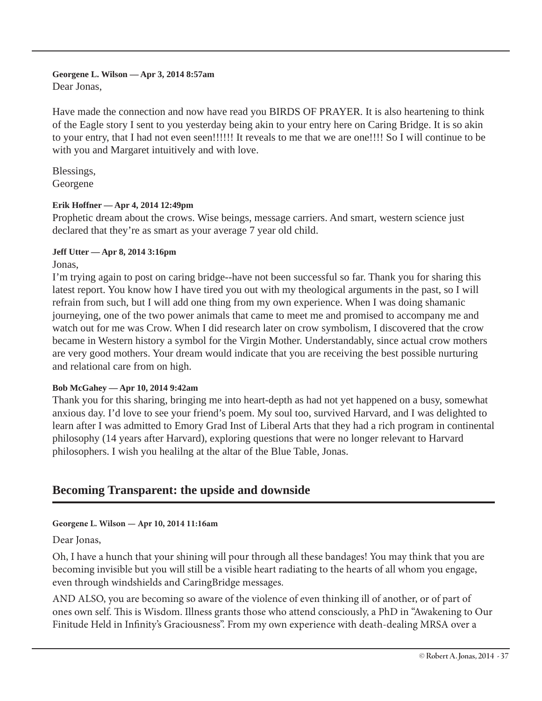# **Georgene L. Wilson — Apr 3, 2014 8:57am**

Dear Jonas,

Have made the connection and now have read you BIRDS OF PRAYER. It is also heartening to think of the Eagle story I sent to you yesterday being akin to your entry here on Caring Bridge. It is so akin to your entry, that I had not even seen!!!!!! It reveals to me that we are one!!!! So I will continue to be with you and Margaret intuitively and with love.

Blessings, Georgene

#### **Erik Hoffner — Apr 4, 2014 12:49pm**

Prophetic dream about the crows. Wise beings, message carriers. And smart, western science just declared that they're as smart as your average 7 year old child.

#### **Jeff Utter — Apr 8, 2014 3:16pm**

Jonas,

I'm trying again to post on caring bridge--have not been successful so far. Thank you for sharing this latest report. You know how I have tired you out with my theological arguments in the past, so I will refrain from such, but I will add one thing from my own experience. When I was doing shamanic journeying, one of the two power animals that came to meet me and promised to accompany me and watch out for me was Crow. When I did research later on crow symbolism, I discovered that the crow became in Western history a symbol for the Virgin Mother. Understandably, since actual crow mothers are very good mothers. Your dream would indicate that you are receiving the best possible nurturing and relational care from on high.

#### **Bob McGahey — Apr 10, 2014 9:42am**

Thank you for this sharing, bringing me into heart-depth as had not yet happened on a busy, somewhat anxious day. I'd love to see your friend's poem. My soul too, survived Harvard, and I was delighted to learn after I was admitted to Emory Grad Inst of Liberal Arts that they had a rich program in continental philosophy (14 years after Harvard), exploring questions that were no longer relevant to Harvard philosophers. I wish you healilng at the altar of the Blue Table, Jonas.

### **Becoming Transparent: the upside and downside**

#### **Georgene L. Wilson — Apr 10, 2014 11:16am**

#### Dear Jonas,

Oh, I have a hunch that your shining will pour through all these bandages! You may think that you are becoming invisible but you will still be a visible heart radiating to the hearts of all whom you engage, even through windshields and CaringBridge messages.

AND ALSO, you are becoming so aware of the violence of even thinking ill of another, or of part of ones own self. This is Wisdom. Illness grants those who attend consciously, a PhD in "Awakening to Our Finitude Held in Infinity's Graciousness". From my own experience with death-dealing MRSA over a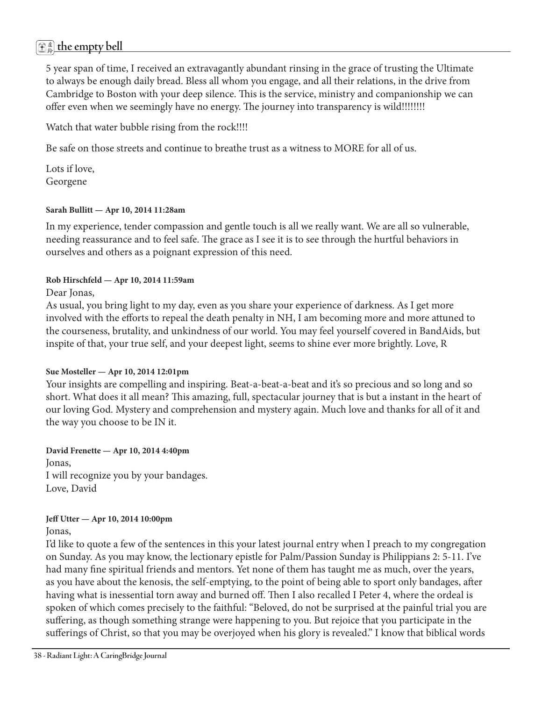# 虚 <sup>鈴</sup> **the empty bell**

5 year span of time, I received an extravagantly abundant rinsing in the grace of trusting the Ultimate to always be enough daily bread. Bless all whom you engage, and all their relations, in the drive from Cambridge to Boston with your deep silence. This is the service, ministry and companionship we can offer even when we seemingly have no energy. The journey into transparency is wild!!!!!!!!

Watch that water bubble rising from the rock!!!!

Be safe on those streets and continue to breathe trust as a witness to MORE for all of us.

Lots if love, Georgene

#### **Sarah Bullitt — Apr 10, 2014 11:28am**

In my experience, tender compassion and gentle touch is all we really want. We are all so vulnerable, needing reassurance and to feel safe. The grace as I see it is to see through the hurtful behaviors in ourselves and others as a poignant expression of this need.

#### **Rob Hirschfeld — Apr 10, 2014 11:59am**

Dear Jonas,

As usual, you bring light to my day, even as you share your experience of darkness. As I get more involved with the efforts to repeal the death penalty in NH, I am becoming more and more attuned to the courseness, brutality, and unkindness of our world. You may feel yourself covered in BandAids, but inspite of that, your true self, and your deepest light, seems to shine ever more brightly. Love, R

#### **Sue Mosteller — Apr 10, 2014 12:01pm**

Your insights are compelling and inspiring. Beat-a-beat-a-beat and it's so precious and so long and so short. What does it all mean? This amazing, full, spectacular journey that is but a instant in the heart of our loving God. Mystery and comprehension and mystery again. Much love and thanks for all of it and the way you choose to be IN it.

**David Frenette — Apr 10, 2014 4:40pm**  Jonas, I will recognize you by your bandages. Love, David

#### **Jeff Utter — Apr 10, 2014 10:00pm**

Jonas,

I'd like to quote a few of the sentences in this your latest journal entry when I preach to my congregation on Sunday. As you may know, the lectionary epistle for Palm/Passion Sunday is Philippians 2: 5-11. I've had many fine spiritual friends and mentors. Yet none of them has taught me as much, over the years, as you have about the kenosis, the self-emptying, to the point of being able to sport only bandages, after having what is inessential torn away and burned off. Then I also recalled I Peter 4, where the ordeal is spoken of which comes precisely to the faithful: "Beloved, do not be surprised at the painful trial you are suffering, as though something strange were happening to you. But rejoice that you participate in the sufferings of Christ, so that you may be overjoyed when his glory is revealed." I know that biblical words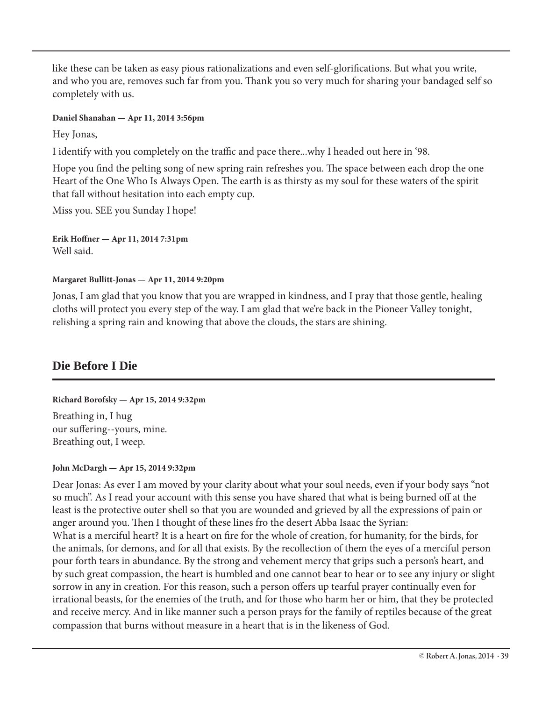like these can be taken as easy pious rationalizations and even self-glorifications. But what you write, and who you are, removes such far from you. Thank you so very much for sharing your bandaged self so completely with us.

#### **Daniel Shanahan — Apr 11, 2014 3:56pm**

Hey Jonas,

I identify with you completely on the traffic and pace there...why I headed out here in '98.

Hope you find the pelting song of new spring rain refreshes you. The space between each drop the one Heart of the One Who Is Always Open. The earth is as thirsty as my soul for these waters of the spirit that fall without hesitation into each empty cup.

Miss you. SEE you Sunday I hope!

**Erik Hoffner — Apr 11, 2014 7:31pm**  Well said.

#### **Margaret Bullitt-Jonas — Apr 11, 2014 9:20pm**

Jonas, I am glad that you know that you are wrapped in kindness, and I pray that those gentle, healing cloths will protect you every step of the way. I am glad that we're back in the Pioneer Valley tonight, relishing a spring rain and knowing that above the clouds, the stars are shining.

### **Die Before I Die**

#### **Richard Borofsky — Apr 15, 2014 9:32pm**

Breathing in, I hug our suffering--yours, mine. Breathing out, I weep.

#### **John McDargh — Apr 15, 2014 9:32pm**

Dear Jonas: As ever I am moved by your clarity about what your soul needs, even if your body says "not so much". As I read your account with this sense you have shared that what is being burned off at the least is the protective outer shell so that you are wounded and grieved by all the expressions of pain or anger around you. Then I thought of these lines fro the desert Abba Isaac the Syrian: What is a merciful heart? It is a heart on fire for the whole of creation, for humanity, for the birds, for the animals, for demons, and for all that exists. By the recollection of them the eyes of a merciful person pour forth tears in abundance. By the strong and vehement mercy that grips such a person's heart, and by such great compassion, the heart is humbled and one cannot bear to hear or to see any injury or slight sorrow in any in creation. For this reason, such a person offers up tearful prayer continually even for irrational beasts, for the enemies of the truth, and for those who harm her or him, that they be protected and receive mercy. And in like manner such a person prays for the family of reptiles because of the great compassion that burns without measure in a heart that is in the likeness of God.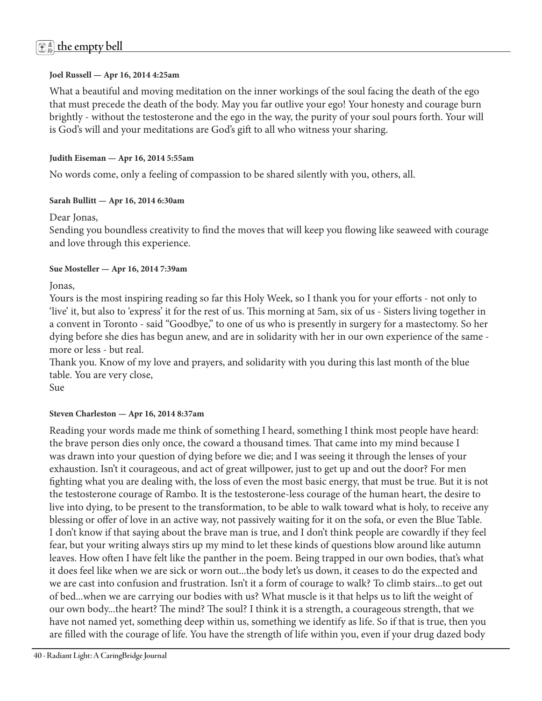#### **Joel Russell — Apr 16, 2014 4:25am**

What a beautiful and moving meditation on the inner workings of the soul facing the death of the ego that must precede the death of the body. May you far outlive your ego! Your honesty and courage burn brightly - without the testosterone and the ego in the way, the purity of your soul pours forth. Your will is God's will and your meditations are God's gift to all who witness your sharing.

#### **Judith Eiseman — Apr 16, 2014 5:55am**

No words come, only a feeling of compassion to be shared silently with you, others, all.

#### **Sarah Bullitt — Apr 16, 2014 6:30am**

#### Dear Jonas,

Sending you boundless creativity to find the moves that will keep you flowing like seaweed with courage and love through this experience.

#### **Sue Mosteller — Apr 16, 2014 7:39am**

Jonas,

Yours is the most inspiring reading so far this Holy Week, so I thank you for your efforts - not only to 'live' it, but also to 'express' it for the rest of us. This morning at 5am, six of us - Sisters living together in a convent in Toronto - said "Goodbye," to one of us who is presently in surgery for a mastectomy. So her dying before she dies has begun anew, and are in solidarity with her in our own experience of the same more or less - but real.

Thank you. Know of my love and prayers, and solidarity with you during this last month of the blue table. You are very close,

Sue

#### **Steven Charleston — Apr 16, 2014 8:37am**

Reading your words made me think of something I heard, something I think most people have heard: the brave person dies only once, the coward a thousand times. That came into my mind because I was drawn into your question of dying before we die; and I was seeing it through the lenses of your exhaustion. Isn't it courageous, and act of great willpower, just to get up and out the door? For men fighting what you are dealing with, the loss of even the most basic energy, that must be true. But it is not the testosterone courage of Rambo. It is the testosterone-less courage of the human heart, the desire to live into dying, to be present to the transformation, to be able to walk toward what is holy, to receive any blessing or offer of love in an active way, not passively waiting for it on the sofa, or even the Blue Table. I don't know if that saying about the brave man is true, and I don't think people are cowardly if they feel fear, but your writing always stirs up my mind to let these kinds of questions blow around like autumn leaves. How often I have felt like the panther in the poem. Being trapped in our own bodies, that's what it does feel like when we are sick or worn out...the body let's us down, it ceases to do the expected and we are cast into confusion and frustration. Isn't it a form of courage to walk? To climb stairs...to get out of bed...when we are carrying our bodies with us? What muscle is it that helps us to lift the weight of our own body...the heart? The mind? The soul? I think it is a strength, a courageous strength, that we have not named yet, something deep within us, something we identify as life. So if that is true, then you are filled with the courage of life. You have the strength of life within you, even if your drug dazed body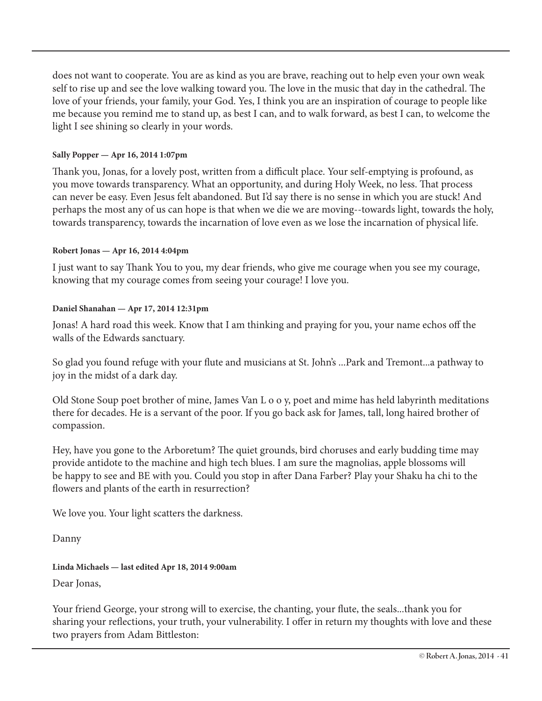does not want to cooperate. You are as kind as you are brave, reaching out to help even your own weak self to rise up and see the love walking toward you. The love in the music that day in the cathedral. The love of your friends, your family, your God. Yes, I think you are an inspiration of courage to people like me because you remind me to stand up, as best I can, and to walk forward, as best I can, to welcome the light I see shining so clearly in your words.

#### **Sally Popper — Apr 16, 2014 1:07pm**

Thank you, Jonas, for a lovely post, written from a difficult place. Your self-emptying is profound, as you move towards transparency. What an opportunity, and during Holy Week, no less. That process can never be easy. Even Jesus felt abandoned. But I'd say there is no sense in which you are stuck! And perhaps the most any of us can hope is that when we die we are moving--towards light, towards the holy, towards transparency, towards the incarnation of love even as we lose the incarnation of physical life.

#### **Robert Jonas — Apr 16, 2014 4:04pm**

I just want to say Thank You to you, my dear friends, who give me courage when you see my courage, knowing that my courage comes from seeing your courage! I love you.

#### **Daniel Shanahan — Apr 17, 2014 12:31pm**

Jonas! A hard road this week. Know that I am thinking and praying for you, your name echos off the walls of the Edwards sanctuary.

So glad you found refuge with your flute and musicians at St. John's ...Park and Tremont...a pathway to joy in the midst of a dark day.

Old Stone Soup poet brother of mine, James Van L o o y, poet and mime has held labyrinth meditations there for decades. He is a servant of the poor. If you go back ask for James, tall, long haired brother of compassion.

Hey, have you gone to the Arboretum? The quiet grounds, bird choruses and early budding time may provide antidote to the machine and high tech blues. I am sure the magnolias, apple blossoms will be happy to see and BE with you. Could you stop in after Dana Farber? Play your Shaku ha chi to the flowers and plants of the earth in resurrection?

We love you. Your light scatters the darkness.

Danny

#### **Linda Michaels — last edited Apr 18, 2014 9:00am**

Dear Jonas,

Your friend George, your strong will to exercise, the chanting, your flute, the seals...thank you for sharing your reflections, your truth, your vulnerability. I offer in return my thoughts with love and these two prayers from Adam Bittleston: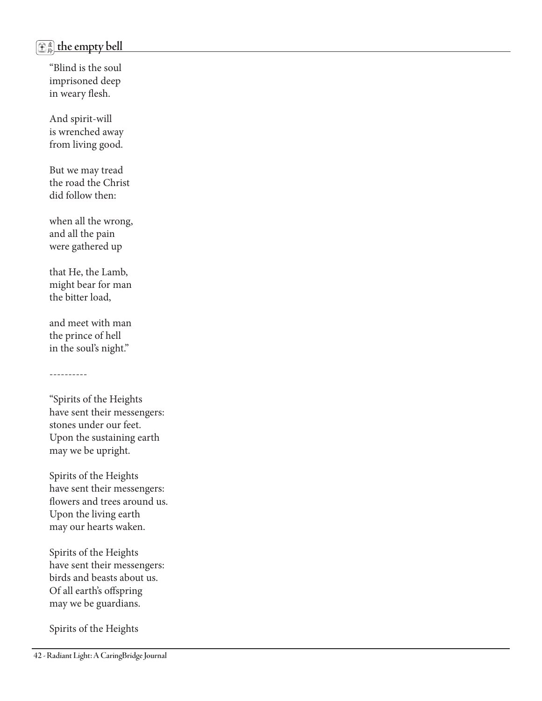# 虚 <sup>鈴</sup> **the empty bell**

"Blind is the soul imprisoned deep in weary flesh.

And spirit-will is wrenched away from living good.

But we may tread the road the Christ did follow then:

when all the wrong, and all the pain were gathered up

that He, the Lamb, might bear for man the bitter load,

and meet with man the prince of hell in the soul's night."

----------

"Spirits of the Heights have sent their messengers: stones under our feet. Upon the sustaining earth may we be upright.

Spirits of the Heights have sent their messengers: flowers and trees around us. Upon the living earth may our hearts waken.

Spirits of the Heights have sent their messengers: birds and beasts about us. Of all earth's offspring may we be guardians.

Spirits of the Heights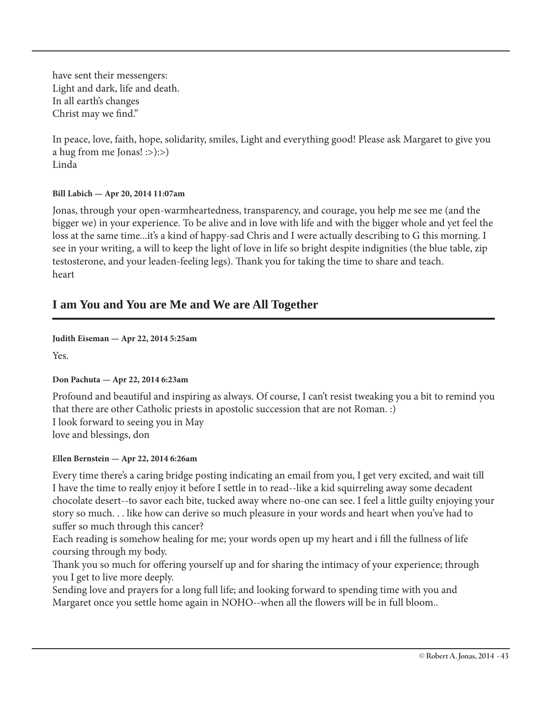have sent their messengers: Light and dark, life and death. In all earth's changes Christ may we find."

In peace, love, faith, hope, solidarity, smiles, Light and everything good! Please ask Margaret to give you a hug from me Jonas! :>):>) Linda

#### **Bill Labich — Apr 20, 2014 11:07am**

Jonas, through your open-warmheartedness, transparency, and courage, you help me see me (and the bigger we) in your experience. To be alive and in love with life and with the bigger whole and yet feel the loss at the same time...it's a kind of happy-sad Chris and I were actually describing to G this morning. I see in your writing, a will to keep the light of love in life so bright despite indignities (the blue table, zip testosterone, and your leaden-feeling legs). Thank you for taking the time to share and teach. heart

### **I am You and You are Me and We are All Together**

**Judith Eiseman — Apr 22, 2014 5:25am** 

Yes.

#### **Don Pachuta — Apr 22, 2014 6:23am**

Profound and beautiful and inspiring as always. Of course, I can't resist tweaking you a bit to remind you that there are other Catholic priests in apostolic succession that are not Roman. :) I look forward to seeing you in May love and blessings, don

#### **Ellen Bernstein — Apr 22, 2014 6:26am**

Every time there's a caring bridge posting indicating an email from you, I get very excited, and wait till I have the time to really enjoy it before I settle in to read--like a kid squirreling away some decadent chocolate desert--to savor each bite, tucked away where no-one can see. I feel a little guilty enjoying your story so much. . . like how can derive so much pleasure in your words and heart when you've had to suffer so much through this cancer?

Each reading is somehow healing for me; your words open up my heart and i fill the fullness of life coursing through my body.

Thank you so much for offering yourself up and for sharing the intimacy of your experience; through you I get to live more deeply.

Sending love and prayers for a long full life; and looking forward to spending time with you and Margaret once you settle home again in NOHO--when all the flowers will be in full bloom..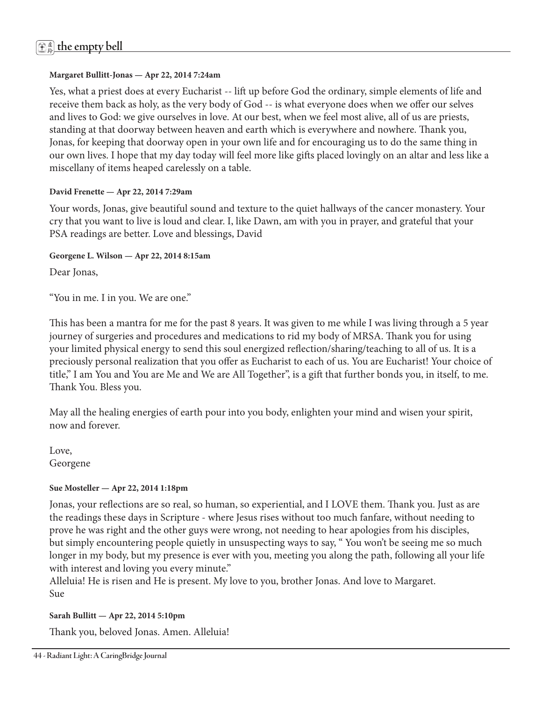#### **Margaret Bullitt-Jonas — Apr 22, 2014 7:24am**

Yes, what a priest does at every Eucharist -- lift up before God the ordinary, simple elements of life and receive them back as holy, as the very body of God -- is what everyone does when we offer our selves and lives to God: we give ourselves in love. At our best, when we feel most alive, all of us are priests, standing at that doorway between heaven and earth which is everywhere and nowhere. Thank you, Jonas, for keeping that doorway open in your own life and for encouraging us to do the same thing in our own lives. I hope that my day today will feel more like gifts placed lovingly on an altar and less like a miscellany of items heaped carelessly on a table.

#### **David Frenette — Apr 22, 2014 7:29am**

Your words, Jonas, give beautiful sound and texture to the quiet hallways of the cancer monastery. Your cry that you want to live is loud and clear. I, like Dawn, am with you in prayer, and grateful that your PSA readings are better. Love and blessings, David

**Georgene L. Wilson — Apr 22, 2014 8:15am** 

Dear Jonas,

"You in me. I in you. We are one."

This has been a mantra for me for the past 8 years. It was given to me while I was living through a 5 year journey of surgeries and procedures and medications to rid my body of MRSA. Thank you for using your limited physical energy to send this soul energized reflection/sharing/teaching to all of us. It is a preciously personal realization that you offer as Eucharist to each of us. You are Eucharist! Your choice of title," I am You and You are Me and We are All Together", is a gift that further bonds you, in itself, to me. Thank You. Bless you.

May all the healing energies of earth pour into you body, enlighten your mind and wisen your spirit, now and forever.

Love, Georgene

#### **Sue Mosteller — Apr 22, 2014 1:18pm**

Jonas, your reflections are so real, so human, so experiential, and I LOVE them. Thank you. Just as are the readings these days in Scripture - where Jesus rises without too much fanfare, without needing to prove he was right and the other guys were wrong, not needing to hear apologies from his disciples, but simply encountering people quietly in unsuspecting ways to say, " You won't be seeing me so much longer in my body, but my presence is ever with you, meeting you along the path, following all your life with interest and loving you every minute."

Alleluia! He is risen and He is present. My love to you, brother Jonas. And love to Margaret. Sue

#### **Sarah Bullitt — Apr 22, 2014 5:10pm**

Thank you, beloved Jonas. Amen. Alleluia!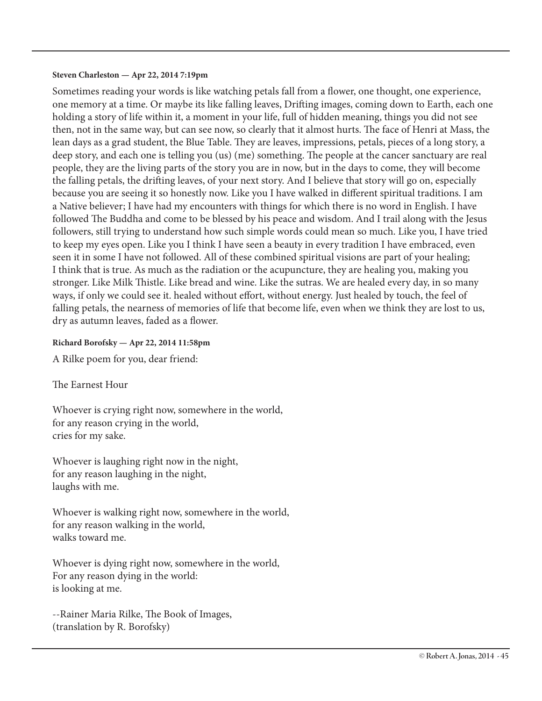#### **Steven Charleston — Apr 22, 2014 7:19pm**

Sometimes reading your words is like watching petals fall from a flower, one thought, one experience, one memory at a time. Or maybe its like falling leaves, Drifting images, coming down to Earth, each one holding a story of life within it, a moment in your life, full of hidden meaning, things you did not see then, not in the same way, but can see now, so clearly that it almost hurts. The face of Henri at Mass, the lean days as a grad student, the Blue Table. They are leaves, impressions, petals, pieces of a long story, a deep story, and each one is telling you (us) (me) something. The people at the cancer sanctuary are real people, they are the living parts of the story you are in now, but in the days to come, they will become the falling petals, the drifting leaves, of your next story. And I believe that story will go on, especially because you are seeing it so honestly now. Like you I have walked in different spiritual traditions. I am a Native believer; I have had my encounters with things for which there is no word in English. I have followed The Buddha and come to be blessed by his peace and wisdom. And I trail along with the Jesus followers, still trying to understand how such simple words could mean so much. Like you, I have tried to keep my eyes open. Like you I think I have seen a beauty in every tradition I have embraced, even seen it in some I have not followed. All of these combined spiritual visions are part of your healing; I think that is true. As much as the radiation or the acupuncture, they are healing you, making you stronger. Like Milk Thistle. Like bread and wine. Like the sutras. We are healed every day, in so many ways, if only we could see it. healed without effort, without energy. Just healed by touch, the feel of falling petals, the nearness of memories of life that become life, even when we think they are lost to us, dry as autumn leaves, faded as a flower.

#### **Richard Borofsky — Apr 22, 2014 11:58pm**

A Rilke poem for you, dear friend:

The Earnest Hour

Whoever is crying right now, somewhere in the world, for any reason crying in the world, cries for my sake.

Whoever is laughing right now in the night, for any reason laughing in the night, laughs with me.

Whoever is walking right now, somewhere in the world, for any reason walking in the world, walks toward me.

Whoever is dying right now, somewhere in the world, For any reason dying in the world: is looking at me.

--Rainer Maria Rilke, The Book of Images, (translation by R. Borofsky)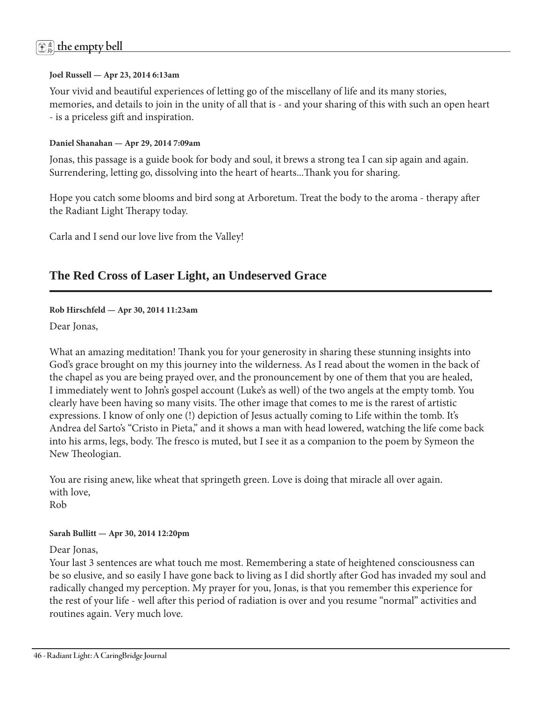# 虚 <sup>鈴</sup> **the empty bell**

#### **Joel Russell — Apr 23, 2014 6:13am**

Your vivid and beautiful experiences of letting go of the miscellany of life and its many stories, memories, and details to join in the unity of all that is - and your sharing of this with such an open heart - is a priceless gift and inspiration.

#### **Daniel Shanahan — Apr 29, 2014 7:09am**

Jonas, this passage is a guide book for body and soul, it brews a strong tea I can sip again and again. Surrendering, letting go, dissolving into the heart of hearts...Thank you for sharing.

Hope you catch some blooms and bird song at Arboretum. Treat the body to the aroma - therapy after the Radiant Light Therapy today.

Carla and I send our love live from the Valley!

### **The Red Cross of Laser Light, an Undeserved Grace**

#### **Rob Hirschfeld — Apr 30, 2014 11:23am**

Dear Jonas,

What an amazing meditation! Thank you for your generosity in sharing these stunning insights into God's grace brought on my this journey into the wilderness. As I read about the women in the back of the chapel as you are being prayed over, and the pronouncement by one of them that you are healed, I immediately went to John's gospel account (Luke's as well) of the two angels at the empty tomb. You clearly have been having so many visits. The other image that comes to me is the rarest of artistic expressions. I know of only one (!) depiction of Jesus actually coming to Life within the tomb. It's Andrea del Sarto's "Cristo in Pieta," and it shows a man with head lowered, watching the life come back into his arms, legs, body. The fresco is muted, but I see it as a companion to the poem by Symeon the New Theologian.

You are rising anew, like wheat that springeth green. Love is doing that miracle all over again. with love,

Rob

#### **Sarah Bullitt — Apr 30, 2014 12:20pm**

Dear Jonas,

Your last 3 sentences are what touch me most. Remembering a state of heightened consciousness can be so elusive, and so easily I have gone back to living as I did shortly after God has invaded my soul and radically changed my perception. My prayer for you, Jonas, is that you remember this experience for the rest of your life - well after this period of radiation is over and you resume "normal" activities and routines again. Very much love.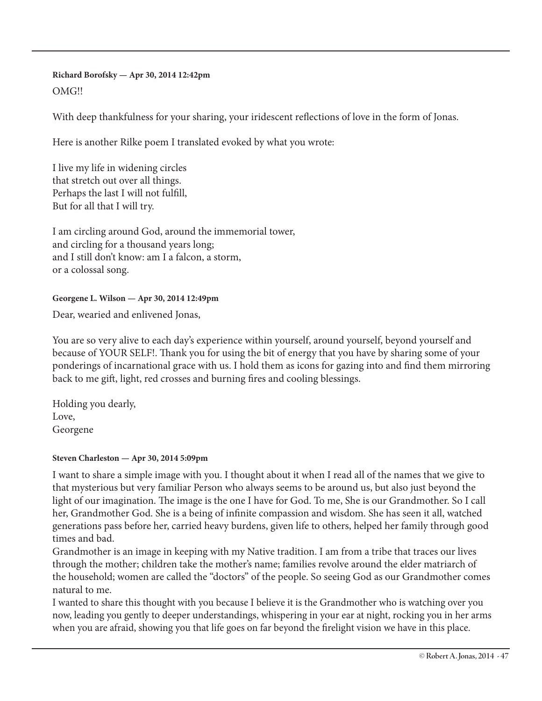#### **Richard Borofsky — Apr 30, 2014 12:42pm**

#### OMG!!

With deep thankfulness for your sharing, your iridescent reflections of love in the form of Jonas.

Here is another Rilke poem I translated evoked by what you wrote:

I live my life in widening circles that stretch out over all things. Perhaps the last I will not fulfill, But for all that I will try.

I am circling around God, around the immemorial tower, and circling for a thousand years long; and I still don't know: am I a falcon, a storm, or a colossal song.

#### **Georgene L. Wilson — Apr 30, 2014 12:49pm**

Dear, wearied and enlivened Jonas,

You are so very alive to each day's experience within yourself, around yourself, beyond yourself and because of YOUR SELF!. Thank you for using the bit of energy that you have by sharing some of your ponderings of incarnational grace with us. I hold them as icons for gazing into and find them mirroring back to me gift, light, red crosses and burning fires and cooling blessings.

Holding you dearly, Love, Georgene

#### **Steven Charleston — Apr 30, 2014 5:09pm**

I want to share a simple image with you. I thought about it when I read all of the names that we give to that mysterious but very familiar Person who always seems to be around us, but also just beyond the light of our imagination. The image is the one I have for God. To me, She is our Grandmother. So I call her, Grandmother God. She is a being of infinite compassion and wisdom. She has seen it all, watched generations pass before her, carried heavy burdens, given life to others, helped her family through good times and bad.

Grandmother is an image in keeping with my Native tradition. I am from a tribe that traces our lives through the mother; children take the mother's name; families revolve around the elder matriarch of the household; women are called the "doctors" of the people. So seeing God as our Grandmother comes natural to me.

I wanted to share this thought with you because I believe it is the Grandmother who is watching over you now, leading you gently to deeper understandings, whispering in your ear at night, rocking you in her arms when you are afraid, showing you that life goes on far beyond the firelight vision we have in this place.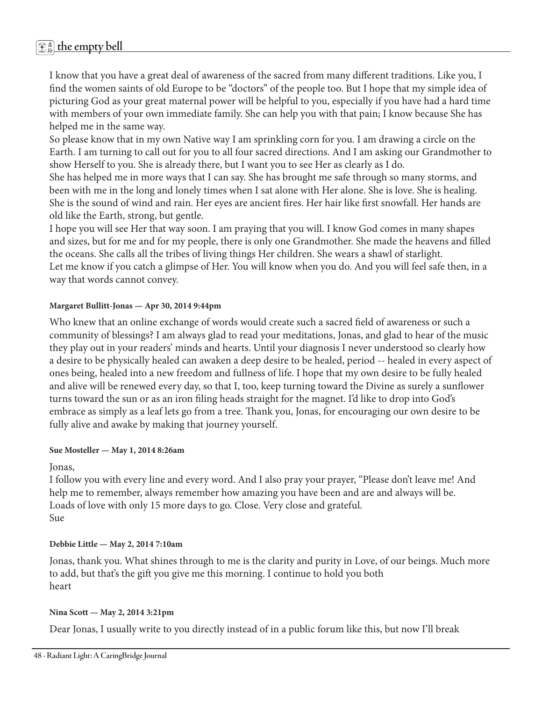# 虚 <sup>鈴</sup> **the empty bell**

I know that you have a great deal of awareness of the sacred from many different traditions. Like you, I find the women saints of old Europe to be "doctors" of the people too. But I hope that my simple idea of picturing God as your great maternal power will be helpful to you, especially if you have had a hard time with members of your own immediate family. She can help you with that pain; I know because She has helped me in the same way.

So please know that in my own Native way I am sprinkling corn for you. I am drawing a circle on the Earth. I am turning to call out for you to all four sacred directions. And I am asking our Grandmother to show Herself to you. She is already there, but I want you to see Her as clearly as I do.

She has helped me in more ways that I can say. She has brought me safe through so many storms, and been with me in the long and lonely times when I sat alone with Her alone. She is love. She is healing. She is the sound of wind and rain. Her eyes are ancient fires. Her hair like first snowfall. Her hands are old like the Earth, strong, but gentle.

I hope you will see Her that way soon. I am praying that you will. I know God comes in many shapes and sizes, but for me and for my people, there is only one Grandmother. She made the heavens and filled the oceans. She calls all the tribes of living things Her children. She wears a shawl of starlight. Let me know if you catch a glimpse of Her. You will know when you do. And you will feel safe then, in a way that words cannot convey.

#### **Margaret Bullitt-Jonas — Apr 30, 2014 9:44pm**

Who knew that an online exchange of words would create such a sacred field of awareness or such a community of blessings? I am always glad to read your meditations, Jonas, and glad to hear of the music they play out in your readers' minds and hearts. Until your diagnosis I never understood so clearly how a desire to be physically healed can awaken a deep desire to be healed, period -- healed in every aspect of ones being, healed into a new freedom and fullness of life. I hope that my own desire to be fully healed and alive will be renewed every day, so that I, too, keep turning toward the Divine as surely a sunflower turns toward the sun or as an iron filing heads straight for the magnet. I'd like to drop into God's embrace as simply as a leaf lets go from a tree. Thank you, Jonas, for encouraging our own desire to be fully alive and awake by making that journey yourself.

#### **Sue Mosteller — May 1, 2014 8:26am**

#### Jonas,

I follow you with every line and every word. And I also pray your prayer, "Please don't leave me! And help me to remember, always remember how amazing you have been and are and always will be. Loads of love with only 15 more days to go. Close. Very close and grateful. Sue

#### **Debbie Little — May 2, 2014 7:10am**

Jonas, thank you. What shines through to me is the clarity and purity in Love, of our beings. Much more to add, but that's the gift you give me this morning. I continue to hold you both heart

#### **Nina Scott — May 2, 2014 3:21pm**

Dear Jonas, I usually write to you directly instead of in a public forum like this, but now I'll break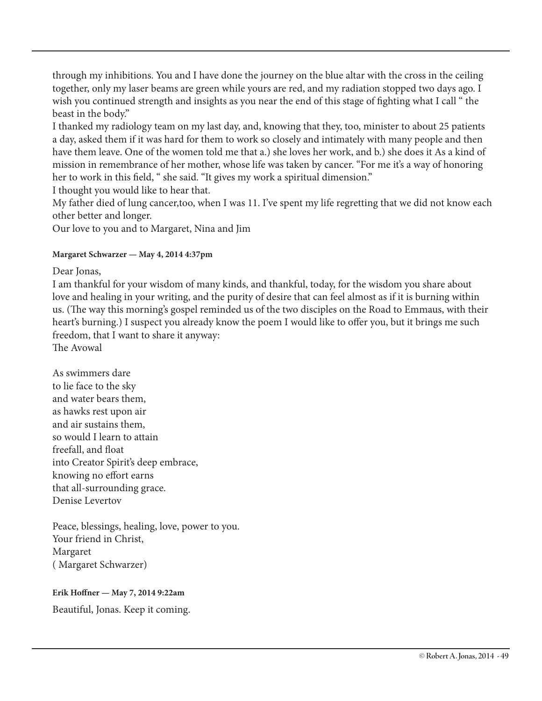through my inhibitions. You and I have done the journey on the blue altar with the cross in the ceiling together, only my laser beams are green while yours are red, and my radiation stopped two days ago. I wish you continued strength and insights as you near the end of this stage of fighting what I call " the beast in the body."

I thanked my radiology team on my last day, and, knowing that they, too, minister to about 25 patients a day, asked them if it was hard for them to work so closely and intimately with many people and then have them leave. One of the women told me that a.) she loves her work, and b.) she does it As a kind of mission in remembrance of her mother, whose life was taken by cancer. "For me it's a way of honoring her to work in this field, " she said. "It gives my work a spiritual dimension."

I thought you would like to hear that.

My father died of lung cancer,too, when I was 11. I've spent my life regretting that we did not know each other better and longer.

Our love to you and to Margaret, Nina and Jim

#### **Margaret Schwarzer — May 4, 2014 4:37pm**

Dear Jonas,

I am thankful for your wisdom of many kinds, and thankful, today, for the wisdom you share about love and healing in your writing, and the purity of desire that can feel almost as if it is burning within us. (The way this morning's gospel reminded us of the two disciples on the Road to Emmaus, with their heart's burning.) I suspect you already know the poem I would like to offer you, but it brings me such freedom, that I want to share it anyway: The Avowal

As swimmers dare to lie face to the sky and water bears them, as hawks rest upon air and air sustains them, so would I learn to attain freefall, and float into Creator Spirit's deep embrace, knowing no effort earns that all-surrounding grace. Denise Levertov

Peace, blessings, healing, love, power to you. Your friend in Christ, Margaret ( Margaret Schwarzer)

#### **Erik Hoffner — May 7, 2014 9:22am**

Beautiful, Jonas. Keep it coming.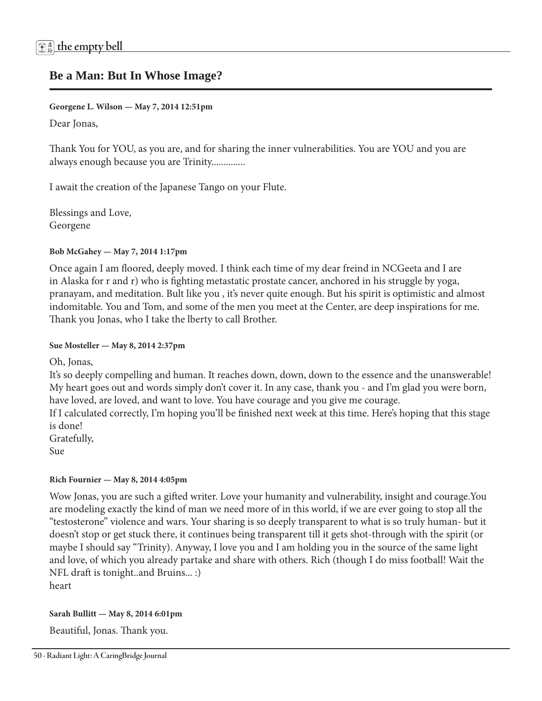### **Be a Man: But In Whose Image?**

**Georgene L. Wilson — May 7, 2014 12:51pm** 

Dear Jonas,

Thank You for YOU, as you are, and for sharing the inner vulnerabilities. You are YOU and you are always enough because you are Trinity..............

I await the creation of the Japanese Tango on your Flute.

Blessings and Love, Georgene

#### **Bob McGahey — May 7, 2014 1:17pm**

Once again I am floored, deeply moved. I think each time of my dear freind in NCGeeta and I are in Alaska for r and r) who is fighting metastatic prostate cancer, anchored in his struggle by yoga, pranayam, and meditation. Bult like you , it's never quite enough. But his spirit is optimistic and almost indomitable. You and Tom, and some of the men you meet at the Center, are deep inspirations for me. Thank you Jonas, who I take the lberty to call Brother.

#### **Sue Mosteller — May 8, 2014 2:37pm**

Oh, Jonas,

It's so deeply compelling and human. It reaches down, down, down to the essence and the unanswerable! My heart goes out and words simply don't cover it. In any case, thank you - and I'm glad you were born, have loved, are loved, and want to love. You have courage and you give me courage.

If I calculated correctly, I'm hoping you'll be finished next week at this time. Here's hoping that this stage is done!

Gratefully,

Sue

#### **Rich Fournier — May 8, 2014 4:05pm**

Wow Jonas, you are such a gifted writer. Love your humanity and vulnerability, insight and courage.You are modeling exactly the kind of man we need more of in this world, if we are ever going to stop all the "testosterone" violence and wars. Your sharing is so deeply transparent to what is so truly human- but it doesn't stop or get stuck there, it continues being transparent till it gets shot-through with the spirit (or maybe I should say "Trinity). Anyway, I love you and I am holding you in the source of the same light and love, of which you already partake and share with others. Rich (though I do miss football! Wait the NFL draft is tonight..and Bruins... :) heart

**Sarah Bullitt — May 8, 2014 6:01pm** 

Beautiful, Jonas. Thank you.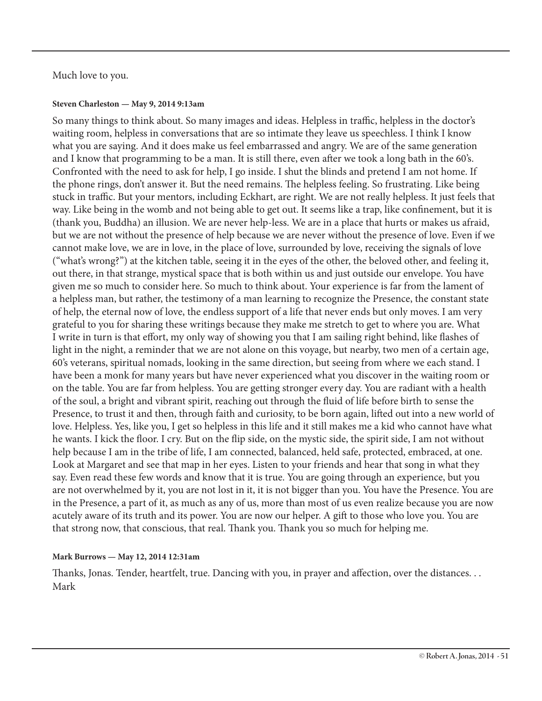#### Much love to you.

#### **Steven Charleston — May 9, 2014 9:13am**

So many things to think about. So many images and ideas. Helpless in traffic, helpless in the doctor's waiting room, helpless in conversations that are so intimate they leave us speechless. I think I know what you are saying. And it does make us feel embarrassed and angry. We are of the same generation and I know that programming to be a man. It is still there, even after we took a long bath in the 60's. Confronted with the need to ask for help, I go inside. I shut the blinds and pretend I am not home. If the phone rings, don't answer it. But the need remains. The helpless feeling. So frustrating. Like being stuck in traffic. But your mentors, including Eckhart, are right. We are not really helpless. It just feels that way. Like being in the womb and not being able to get out. It seems like a trap, like confinement, but it is (thank you, Buddha) an illusion. We are never help-less. We are in a place that hurts or makes us afraid, but we are not without the presence of help because we are never without the presence of love. Even if we cannot make love, we are in love, in the place of love, surrounded by love, receiving the signals of love ("what's wrong?") at the kitchen table, seeing it in the eyes of the other, the beloved other, and feeling it, out there, in that strange, mystical space that is both within us and just outside our envelope. You have given me so much to consider here. So much to think about. Your experience is far from the lament of a helpless man, but rather, the testimony of a man learning to recognize the Presence, the constant state of help, the eternal now of love, the endless support of a life that never ends but only moves. I am very grateful to you for sharing these writings because they make me stretch to get to where you are. What I write in turn is that effort, my only way of showing you that I am sailing right behind, like flashes of light in the night, a reminder that we are not alone on this voyage, but nearby, two men of a certain age, 60's veterans, spiritual nomads, looking in the same direction, but seeing from where we each stand. I have been a monk for many years but have never experienced what you discover in the waiting room or on the table. You are far from helpless. You are getting stronger every day. You are radiant with a health of the soul, a bright and vibrant spirit, reaching out through the fluid of life before birth to sense the Presence, to trust it and then, through faith and curiosity, to be born again, lifted out into a new world of love. Helpless. Yes, like you, I get so helpless in this life and it still makes me a kid who cannot have what he wants. I kick the floor. I cry. But on the flip side, on the mystic side, the spirit side, I am not without help because I am in the tribe of life, I am connected, balanced, held safe, protected, embraced, at one. Look at Margaret and see that map in her eyes. Listen to your friends and hear that song in what they say. Even read these few words and know that it is true. You are going through an experience, but you are not overwhelmed by it, you are not lost in it, it is not bigger than you. You have the Presence. You are in the Presence, a part of it, as much as any of us, more than most of us even realize because you are now acutely aware of its truth and its power. You are now our helper. A gift to those who love you. You are that strong now, that conscious, that real. Thank you. Thank you so much for helping me.

#### **Mark Burrows — May 12, 2014 12:31am**

Thanks, Jonas. Tender, heartfelt, true. Dancing with you, in prayer and affection, over the distances. . . Mark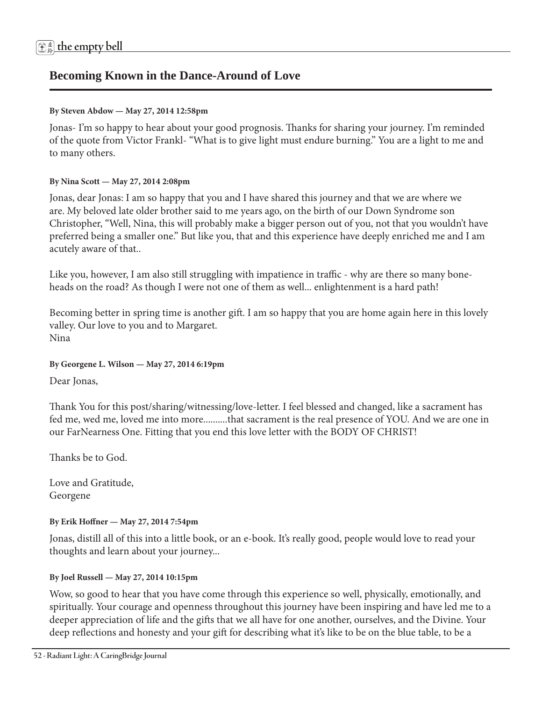### **Becoming Known in the Dance-Around of Love**

#### **By Steven Abdow — May 27, 2014 12:58pm**

Jonas- I'm so happy to hear about your good prognosis. Thanks for sharing your journey. I'm reminded of the quote from Victor Frankl- "What is to give light must endure burning." You are a light to me and to many others.

#### **By Nina Scott — May 27, 2014 2:08pm**

Jonas, dear Jonas: I am so happy that you and I have shared this journey and that we are where we are. My beloved late older brother said to me years ago, on the birth of our Down Syndrome son Christopher, "Well, Nina, this will probably make a bigger person out of you, not that you wouldn't have preferred being a smaller one." But like you, that and this experience have deeply enriched me and I am acutely aware of that..

Like you, however, I am also still struggling with impatience in traffic - why are there so many boneheads on the road? As though I were not one of them as well... enlightenment is a hard path!

Becoming better in spring time is another gift. I am so happy that you are home again here in this lovely valley. Our love to you and to Margaret. Nina

#### **By Georgene L. Wilson — May 27, 2014 6:19pm**

Dear Jonas,

Thank You for this post/sharing/witnessing/love-letter. I feel blessed and changed, like a sacrament has fed me, wed me, loved me into more..........that sacrament is the real presence of YOU. And we are one in our FarNearness One. Fitting that you end this love letter with the BODY OF CHRIST!

Thanks be to God.

Love and Gratitude, Georgene

#### **By Erik Hoffner — May 27, 2014 7:54pm**

Jonas, distill all of this into a little book, or an e-book. It's really good, people would love to read your thoughts and learn about your journey...

#### **By Joel Russell — May 27, 2014 10:15pm**

Wow, so good to hear that you have come through this experience so well, physically, emotionally, and spiritually. Your courage and openness throughout this journey have been inspiring and have led me to a deeper appreciation of life and the gifts that we all have for one another, ourselves, and the Divine. Your deep reflections and honesty and your gift for describing what it's like to be on the blue table, to be a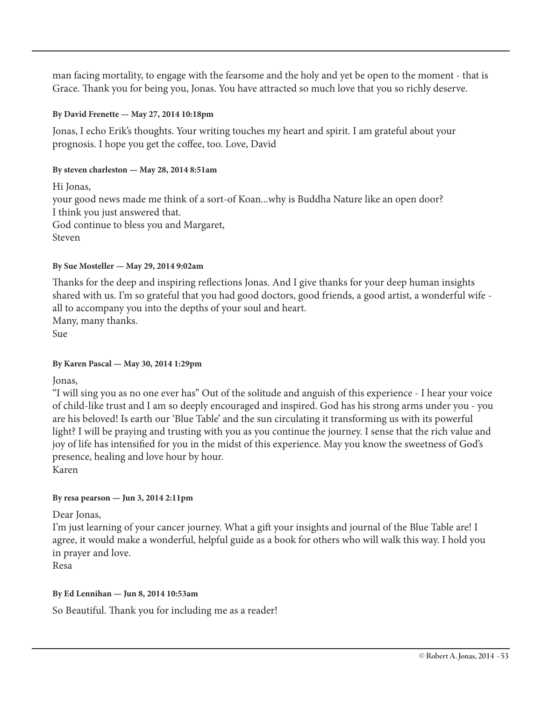man facing mortality, to engage with the fearsome and the holy and yet be open to the moment - that is Grace. Thank you for being you, Jonas. You have attracted so much love that you so richly deserve.

#### **By David Frenette — May 27, 2014 10:18pm**

Jonas, I echo Erik's thoughts. Your writing touches my heart and spirit. I am grateful about your prognosis. I hope you get the coffee, too. Love, David

#### **By steven charleston — May 28, 2014 8:51am**

Hi Jonas, your good news made me think of a sort-of Koan...why is Buddha Nature like an open door? I think you just answered that. God continue to bless you and Margaret, Steven

#### **By Sue Mosteller — May 29, 2014 9:02am**

Thanks for the deep and inspiring reflections Jonas. And I give thanks for your deep human insights shared with us. I'm so grateful that you had good doctors, good friends, a good artist, a wonderful wife all to accompany you into the depths of your soul and heart. Many, many thanks. Sue

#### **By Karen Pascal — May 30, 2014 1:29pm**

Jonas,

"I will sing you as no one ever has" Out of the solitude and anguish of this experience - I hear your voice of child-like trust and I am so deeply encouraged and inspired. God has his strong arms under you - you are his beloved! Is earth our 'Blue Table' and the sun circulating it transforming us with its powerful light? I will be praying and trusting with you as you continue the journey. I sense that the rich value and joy of life has intensified for you in the midst of this experience. May you know the sweetness of God's presence, healing and love hour by hour.

Karen

#### **By resa pearson — Jun 3, 2014 2:11pm**

Dear Jonas,

I'm just learning of your cancer journey. What a gift your insights and journal of the Blue Table are! I agree, it would make a wonderful, helpful guide as a book for others who will walk this way. I hold you in prayer and love.

Resa

#### **By Ed Lennihan — Jun 8, 2014 10:53am**

So Beautiful. Thank you for including me as a reader!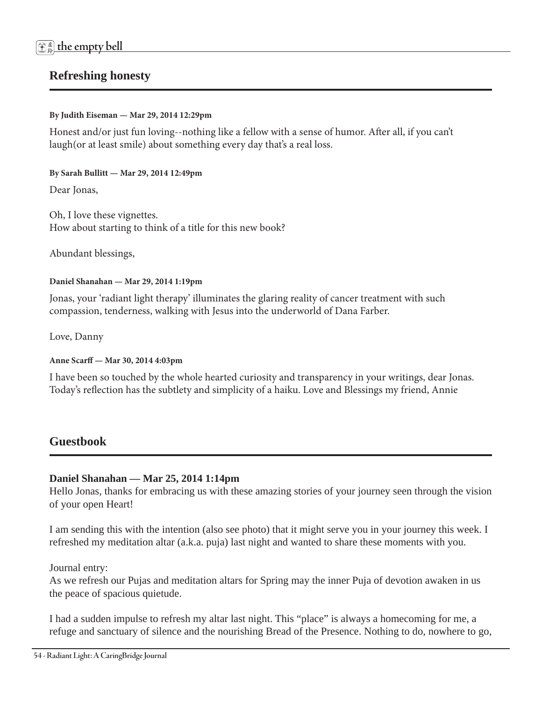## **Refreshing honesty**

#### **By Judith Eiseman — Mar 29, 2014 12:29pm**

Honest and/or just fun loving--nothing like a fellow with a sense of humor. After all, if you can't laugh(or at least smile) about something every day that's a real loss.

#### **By Sarah Bullitt — Mar 29, 2014 12:49pm**

Dear Jonas,

Oh, I love these vignettes. How about starting to think of a title for this new book?

Abundant blessings,

#### **Daniel Shanahan — Mar 29, 2014 1:19pm**

Jonas, your 'radiant light therapy' illuminates the glaring reality of cancer treatment with such compassion, tenderness, walking with Jesus into the underworld of Dana Farber.

Love, Danny

**Anne Scarff — Mar 30, 2014 4:03pm** 

I have been so touched by the whole hearted curiosity and transparency in your writings, dear Jonas. Today's reflection has the subtlety and simplicity of a haiku. Love and Blessings my friend, Annie

### **Guestbook**

#### **Daniel Shanahan — Mar 25, 2014 1:14pm**

Hello Jonas, thanks for embracing us with these amazing stories of your journey seen through the vision of your open Heart!

I am sending this with the intention (also see photo) that it might serve you in your journey this week. I refreshed my meditation altar (a.k.a. puja) last night and wanted to share these moments with you.

Journal entry:

As we refresh our Pujas and meditation altars for Spring may the inner Puja of devotion awaken in us the peace of spacious quietude.

I had a sudden impulse to refresh my altar last night. This "place" is always a homecoming for me, a refuge and sanctuary of silence and the nourishing Bread of the Presence. Nothing to do, nowhere to go,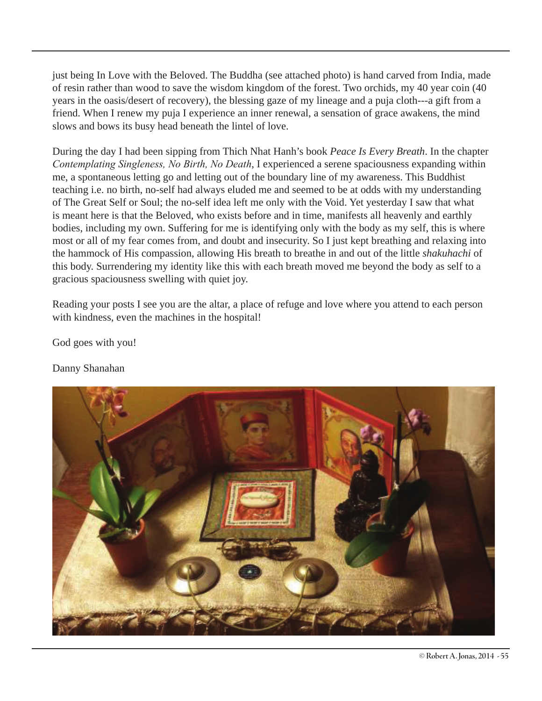just being In Love with the Beloved. The Buddha (see attached photo) is hand carved from India, made of resin rather than wood to save the wisdom kingdom of the forest. Two orchids, my 40 year coin (40 years in the oasis/desert of recovery), the blessing gaze of my lineage and a puja cloth---a gift from a friend. When I renew my puja I experience an inner renewal, a sensation of grace awakens, the mind slows and bows its busy head beneath the lintel of love.

During the day I had been sipping from Thich Nhat Hanh's book *Peace Is Every Breath*. In the chapter *Contemplating Singleness, No Birth, No Death*, I experienced a serene spaciousness expanding within me, a spontaneous letting go and letting out of the boundary line of my awareness. This Buddhist teaching i.e. no birth, no-self had always eluded me and seemed to be at odds with my understanding of The Great Self or Soul; the no-self idea left me only with the Void. Yet yesterday I saw that what is meant here is that the Beloved, who exists before and in time, manifests all heavenly and earthly bodies, including my own. Suffering for me is identifying only with the body as my self, this is where most or all of my fear comes from, and doubt and insecurity. So I just kept breathing and relaxing into the hammock of His compassion, allowing His breath to breathe in and out of the little *shakuhachi* of this body. Surrendering my identity like this with each breath moved me beyond the body as self to a gracious spaciousness swelling with quiet joy.

Reading your posts I see you are the altar, a place of refuge and love where you attend to each person with kindness, even the machines in the hospital!

God goes with you!

Danny Shanahan

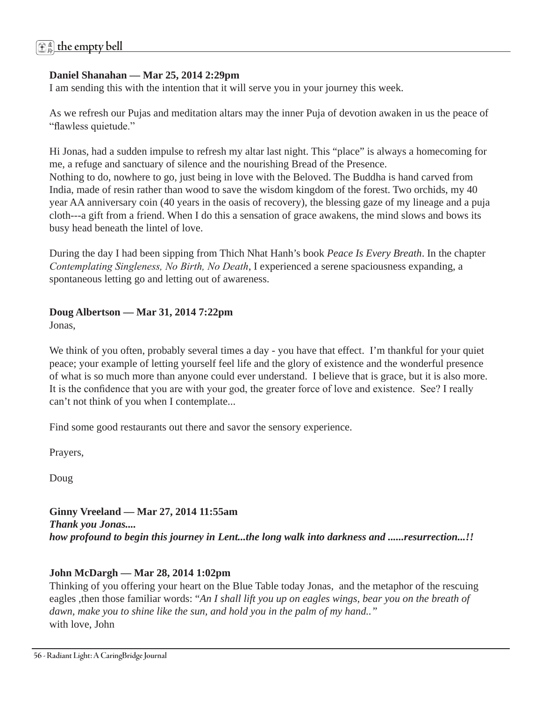#### **Daniel Shanahan — Mar 25, 2014 2:29pm**

I am sending this with the intention that it will serve you in your journey this week.

As we refresh our Pujas and meditation altars may the inner Puja of devotion awaken in us the peace of "flawless quietude."

Hi Jonas, had a sudden impulse to refresh my altar last night. This "place" is always a homecoming for me, a refuge and sanctuary of silence and the nourishing Bread of the Presence. Nothing to do, nowhere to go, just being in love with the Beloved. The Buddha is hand carved from India, made of resin rather than wood to save the wisdom kingdom of the forest. Two orchids, my 40 year AA anniversary coin (40 years in the oasis of recovery), the blessing gaze of my lineage and a puja cloth---a gift from a friend. When I do this a sensation of grace awakens, the mind slows and bows its busy head beneath the lintel of love.

During the day I had been sipping from Thich Nhat Hanh's book *Peace Is Every Breath*. In the chapter *Contemplating Singleness, No Birth, No Death*, I experienced a serene spaciousness expanding, a spontaneous letting go and letting out of awareness.

# **Doug Albertson — Mar 31, 2014 7:22pm**

Jonas,

We think of you often, probably several times a day - you have that effect. I'm thankful for your quiet peace; your example of letting yourself feel life and the glory of existence and the wonderful presence of what is so much more than anyone could ever understand. I believe that is grace, but it is also more. It is the confidence that you are with your god, the greater force of love and existence. See? I really can't not think of you when I contemplate...

Find some good restaurants out there and savor the sensory experience.

Prayers,

Doug

### **Ginny Vreeland — Mar 27, 2014 11:55am**  *Thank you Jonas.... how profound to begin this journey in Lent...the long walk into darkness and ......resurrection...!!*

### **John McDargh — Mar 28, 2014 1:02pm**

Thinking of you offering your heart on the Blue Table today Jonas, and the metaphor of the rescuing eagles ,then those familiar words: "*An I shall lift you up on eagles wings, bear you on the breath of dawn, make you to shine like the sun, and hold you in the palm of my hand.."* with love, John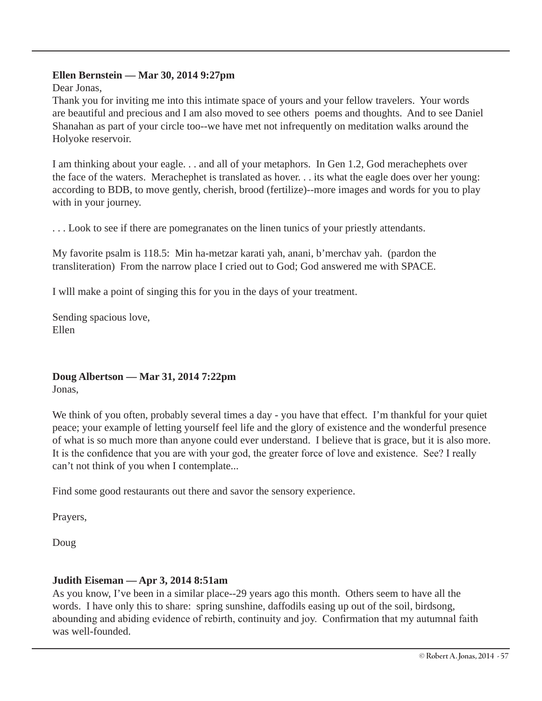#### **Ellen Bernstein — Mar 30, 2014 9:27pm**

Dear Jonas,

Thank you for inviting me into this intimate space of yours and your fellow travelers. Your words are beautiful and precious and I am also moved to see others poems and thoughts. And to see Daniel Shanahan as part of your circle too--we have met not infrequently on meditation walks around the Holyoke reservoir.

I am thinking about your eagle. . . and all of your metaphors. In Gen 1.2, God merachephets over the face of the waters. Merachephet is translated as hover. . . its what the eagle does over her young: according to BDB, to move gently, cherish, brood (fertilize)--more images and words for you to play with in your journey.

. . . Look to see if there are pomegranates on the linen tunics of your priestly attendants.

My favorite psalm is 118.5: Min ha-metzar karati yah, anani, b'merchav yah. (pardon the transliteration) From the narrow place I cried out to God; God answered me with SPACE.

I wlll make a point of singing this for you in the days of your treatment.

Sending spacious love, Ellen

**Doug Albertson — Mar 31, 2014 7:22pm**  Jonas,

We think of you often, probably several times a day - you have that effect. I'm thankful for your quiet peace; your example of letting yourself feel life and the glory of existence and the wonderful presence of what is so much more than anyone could ever understand. I believe that is grace, but it is also more. It is the confidence that you are with your god, the greater force of love and existence. See? I really can't not think of you when I contemplate...

Find some good restaurants out there and savor the sensory experience.

Prayers,

Doug

#### **Judith Eiseman — Apr 3, 2014 8:51am**

As you know, I've been in a similar place--29 years ago this month. Others seem to have all the words. I have only this to share: spring sunshine, daffodils easing up out of the soil, birdsong, abounding and abiding evidence of rebirth, continuity and joy. Confirmation that my autumnal faith was well-founded.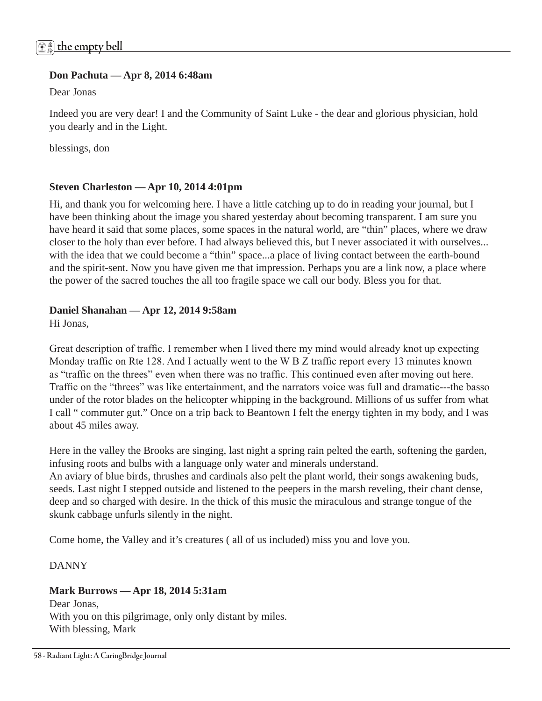#### **Don Pachuta — Apr 8, 2014 6:48am**

Dear Jonas

Indeed you are very dear! I and the Community of Saint Luke - the dear and glorious physician, hold you dearly and in the Light.

blessings, don

#### **Steven Charleston — Apr 10, 2014 4:01pm**

Hi, and thank you for welcoming here. I have a little catching up to do in reading your journal, but I have been thinking about the image you shared yesterday about becoming transparent. I am sure you have heard it said that some places, some spaces in the natural world, are "thin" places, where we draw closer to the holy than ever before. I had always believed this, but I never associated it with ourselves... with the idea that we could become a "thin" space...a place of living contact between the earth-bound and the spirit-sent. Now you have given me that impression. Perhaps you are a link now, a place where the power of the sacred touches the all too fragile space we call our body. Bless you for that.

#### **Daniel Shanahan — Apr 12, 2014 9:58am**

Hi Jonas,

Great description of traffic. I remember when I lived there my mind would already knot up expecting Monday traffic on Rte 128. And I actually went to the W B Z traffic report every 13 minutes known as "traffic on the threes" even when there was no traffic. This continued even after moving out here. Traffic on the "threes" was like entertainment, and the narrators voice was full and dramatic---the basso under of the rotor blades on the helicopter whipping in the background. Millions of us suffer from what I call " commuter gut." Once on a trip back to Beantown I felt the energy tighten in my body, and I was about 45 miles away.

Here in the valley the Brooks are singing, last night a spring rain pelted the earth, softening the garden, infusing roots and bulbs with a language only water and minerals understand.

An aviary of blue birds, thrushes and cardinals also pelt the plant world, their songs awakening buds, seeds. Last night I stepped outside and listened to the peepers in the marsh reveling, their chant dense, deep and so charged with desire. In the thick of this music the miraculous and strange tongue of the skunk cabbage unfurls silently in the night.

Come home, the Valley and it's creatures ( all of us included) miss you and love you.

DANNY

#### **Mark Burrows — Apr 18, 2014 5:31am**

Dear Jonas, With you on this pilgrimage, only only distant by miles. With blessing, Mark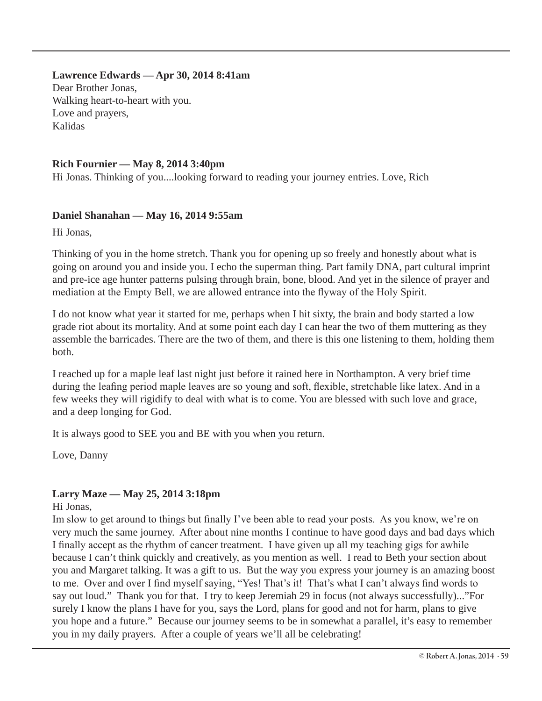**Lawrence Edwards — Apr 30, 2014 8:41am**  Dear Brother Jonas, Walking heart-to-heart with you. Love and prayers, Kalidas

#### **Rich Fournier — May 8, 2014 3:40pm**

Hi Jonas. Thinking of you....looking forward to reading your journey entries. Love, Rich

#### **Daniel Shanahan — May 16, 2014 9:55am**

Hi Jonas,

Thinking of you in the home stretch. Thank you for opening up so freely and honestly about what is going on around you and inside you. I echo the superman thing. Part family DNA, part cultural imprint and pre-ice age hunter patterns pulsing through brain, bone, blood. And yet in the silence of prayer and mediation at the Empty Bell, we are allowed entrance into the flyway of the Holy Spirit.

I do not know what year it started for me, perhaps when I hit sixty, the brain and body started a low grade riot about its mortality. And at some point each day I can hear the two of them muttering as they assemble the barricades. There are the two of them, and there is this one listening to them, holding them both.

I reached up for a maple leaf last night just before it rained here in Northampton. A very brief time during the leafing period maple leaves are so young and soft, flexible, stretchable like latex. And in a few weeks they will rigidify to deal with what is to come. You are blessed with such love and grace, and a deep longing for God.

It is always good to SEE you and BE with you when you return.

Love, Danny

#### **Larry Maze — May 25, 2014 3:18pm**

Hi Jonas,

Im slow to get around to things but finally I've been able to read your posts. As you know, we're on very much the same journey. After about nine months I continue to have good days and bad days which I finally accept as the rhythm of cancer treatment. I have given up all my teaching gigs for awhile because I can't think quickly and creatively, as you mention as well. I read to Beth your section about you and Margaret talking. It was a gift to us. But the way you express your journey is an amazing boost to me. Over and over I find myself saying, "Yes! That's it! That's what I can't always find words to say out loud." Thank you for that. I try to keep Jeremiah 29 in focus (not always successfully)..."For surely I know the plans I have for you, says the Lord, plans for good and not for harm, plans to give you hope and a future." Because our journey seems to be in somewhat a parallel, it's easy to remember you in my daily prayers. After a couple of years we'll all be celebrating!